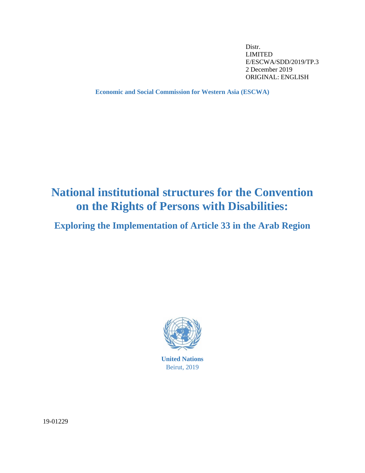Distr. LIMITED E/ESCWA/SDD/2019/TP.3 2 December 2019 ORIGINAL: ENGLISH

**Economic and Social Commission for Western Asia (ESCWA)**

# **National institutional structures for the Convention on the Rights of Persons with Disabilities:**

**Exploring the Implementation of Article 33 in the Arab Region**



Beirut, 2019

19-01229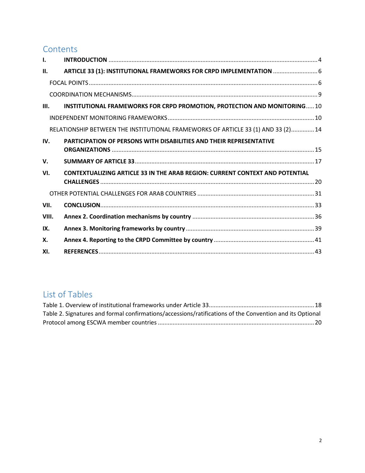## **Contents**

| $\mathbf{L}$ |                                                                                     |
|--------------|-------------------------------------------------------------------------------------|
| II.          | ARTICLE 33 (1): INSTITUTIONAL FRAMEWORKS FOR CRPD IMPLEMENTATION  6                 |
|              |                                                                                     |
|              |                                                                                     |
| III.         | INSTITUTIONAL FRAMEWORKS FOR CRPD PROMOTION, PROTECTION AND MONITORING10            |
|              |                                                                                     |
|              | RELATIONSHIP BETWEEN THE INSTITUTIONAL FRAMEWORKS OF ARTICLE 33 (1) AND 33 (2) 14   |
| IV.          | <b>PARTICIPATION OF PERSONS WITH DISABILITIES AND THEIR REPRESENTATIVE</b>          |
| $V_{\cdot}$  |                                                                                     |
| VI.          | <b>CONTEXTUALIZING ARTICLE 33 IN THE ARAB REGION: CURRENT CONTEXT AND POTENTIAL</b> |
|              |                                                                                     |
| VII.         |                                                                                     |
| VIII.        |                                                                                     |
| IX.          |                                                                                     |
| Х.           |                                                                                     |
| XI.          |                                                                                     |

## List of Tables

| Table 2. Signatures and formal confirmations/accessions/ratifications of the Convention and its Optional |  |
|----------------------------------------------------------------------------------------------------------|--|
|                                                                                                          |  |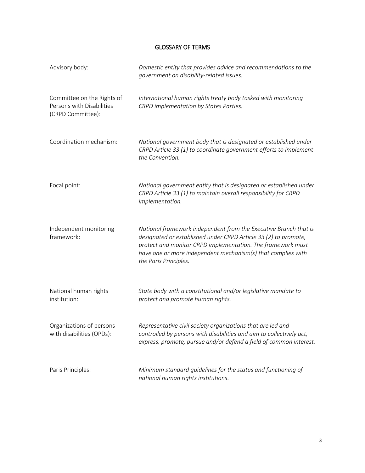## GLOSSARY OF TERMS

| Advisory body:                                                               | Domestic entity that provides advice and recommendations to the<br>government on disability-related issues.                                                                                                                                                                                 |
|------------------------------------------------------------------------------|---------------------------------------------------------------------------------------------------------------------------------------------------------------------------------------------------------------------------------------------------------------------------------------------|
| Committee on the Rights of<br>Persons with Disabilities<br>(CRPD Committee): | International human rights treaty body tasked with monitoring<br>CRPD implementation by States Parties.                                                                                                                                                                                     |
| Coordination mechanism:                                                      | National government body that is designated or established under<br>CRPD Article 33 (1) to coordinate government efforts to implement<br>the Convention.                                                                                                                                    |
| Focal point:                                                                 | National government entity that is designated or established under<br>CRPD Article 33 (1) to maintain overall responsibility for CRPD<br>implementation.                                                                                                                                    |
| Independent monitoring<br>framework:                                         | National framework independent from the Executive Branch that is<br>designated or established under CRPD Article 33 (2) to promote,<br>protect and monitor CRPD implementation. The framework must<br>have one or more independent mechanism(s) that complies with<br>the Paris Principles. |
| National human rights<br>institution:                                        | State body with a constitutional and/or legislative mandate to<br>protect and promote human rights.                                                                                                                                                                                         |
| Organizations of persons<br>with disabilities (OPDs):                        | Representative civil society organizations that are led and<br>controlled by persons with disabilities and aim to collectively act,<br>express, promote, pursue and/or defend a field of common interest.                                                                                   |
| Paris Principles:                                                            | Minimum standard guidelines for the status and functioning of<br>national human rights institutions.                                                                                                                                                                                        |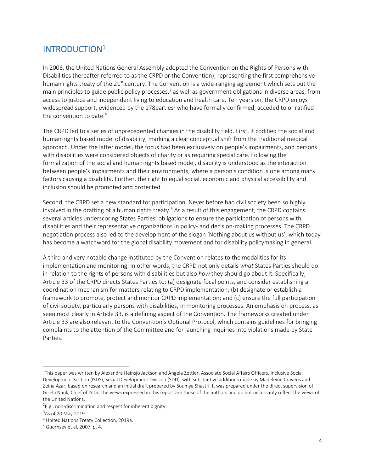## <span id="page-3-0"></span>INTRODUCTION<sup>1</sup>

In 2006, the United Nations General Assembly adopted the Convention on the Rights of Persons with Disabilities (hereafter referred to as the CRPD or the Convention), representing the first comprehensive human rights treaty of the 21<sup>st</sup> century. The Convention is a wide-ranging agreement which sets out the main principles to guide public policy processes,<sup>2</sup> as well as government obligations in diverse areas, from access to justice and independent living to education and health care. Ten years on, the CRPD enjoys widespread support, evidenced by the  $178$  parties<sup>3</sup> who have formally confirmed, acceded to or ratified the convention to date.<sup>4</sup>

The CRPD led to a series of unprecedented changes in the disability field. First, it codified the social and human-rights based model of disability, marking a clear conceptual shift from the traditional medical approach. Under the latter model, the focus had been exclusively on people's impairments, and persons with disabilities were considered objects of charity or as requiring special care. Following the formalization of the social and human-rights based model, disability is understood as the interaction between people's impairments and their environments, where a person's condition is one among many factors causing a disability. Further, the right to equal social, economic and physical accessibility and inclusion should be promoted and protected.

Second, the CRPD set a new standard for participation. Never before had civil society been so highly involved in the drafting of a human rights treaty.<sup>5</sup> As a result of this engagement, the CRPD contains several articles underscoring States Parties' obligations to ensure the participation of persons with disabilities and their representative organizations in policy- and decision-making processes. The CRPD negotiation process also led to the development of the slogan 'Nothing about us without us', which today has become a watchword for the global disability movement and for disability policymaking in general.

A third and very notable change instituted by the Convention relates to the modalities for its implementation and monitoring. In other words, the CRPD not only details *what* States Parties should do in relation to the rights of persons with disabilities but also *how* they should go about it. Specifically, Article 33 of the CRPD directs States Parties to: (a) designate focal points, and consider establishing a coordination mechanism for matters relating to CRPD implementation; (b) designate or establish a framework to promote, protect and monitor CRPD implementation; and (c) ensure the full participation of civil society, particularly persons with disabilities, in monitoring processes. An emphasis on process, as seen most clearly in Article 33, is a defining aspect of the Convention. The frameworks created under Article 33 are also relevant to the Convention's Optional Protocol, which contains guidelines for bringing complaints to the attention of the Committee and for launching inquiries into violations made by State Parties.

 $\overline{\phantom{a}}$ 

<sup>1</sup>This paper was written by Alexandra Heinsjo Jackson and Angela Zettler, Associate Social Affairs Officers, Inclusive Social Development Section (ISDS), Social Development Division (SDD), with substantive additions made by Madeleine Cravens and Zeina Azar, based on research and an initial draft prepared by Soumya Shastri. It was prepared under the direct supervision of Gisela Nauk, Chief of ISDS. The views expressed in this report are those of the authors and do not necessarily reflect the views of the United Nations.

 $2E.g.,$  non-discrimination and respect for inherent dignity.

<sup>3</sup>As of 20 May 2019.

<sup>4</sup> United Nations Treaty Collection, 2019a.

<sup>5</sup> Guernsey et al, 2007, p. 4.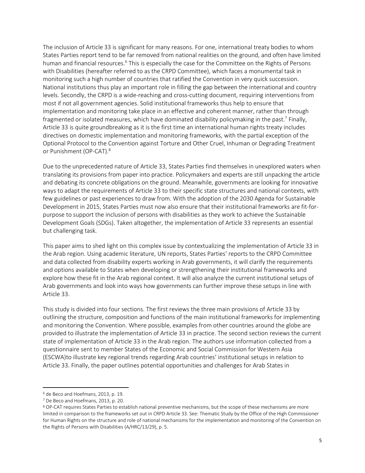The inclusion of Article 33 is significant for many reasons. For one, international treaty bodies to whom States Parties report tend to be far removed from national realities on the ground, and often have limited human and financial resources.<sup>6</sup> This is especially the case for the Committee on the Rights of Persons with Disabilities (hereafter referred to as the CRPD Committee), which faces a monumental task in monitoring such a high number of countries that ratified the Convention in very quick succession. National institutions thus play an important role in filling the gap between the international and country levels. Secondly, the CRPD is a wide-reaching and cross-cutting document, requiring interventions from most if not all government agencies. Solid institutional frameworks thus help to ensure that implementation and monitoring take place in an effective and coherent manner, rather than through fragmented or isolated measures, which have dominated disability policymaking in the past.<sup>7</sup> Finally, Article 33 is quite groundbreaking as it is the first time an international human rights treaty includes directives on domestic implementation and monitoring frameworks, with the partial exception of the Optional Protocol to the Convention against Torture and Other Cruel, Inhuman or Degrading Treatment or Punishment (OP-CAT).<sup>8</sup>

Due to the unprecedented nature of Article 33, States Parties find themselves in unexplored waters when translating its provisions from paper into practice. Policymakers and experts are still unpacking the article and debating its concrete obligations on the ground. Meanwhile, governments are looking for innovative ways to adapt the requirements of Article 33 to their specific state structures and national contexts, with few guidelines or past experiences to draw from. With the adoption of the 2030 Agenda for Sustainable Development in 2015, States Parties must now also ensure that their institutional frameworks are fit-forpurpose to support the inclusion of persons with disabilities as they work to achieve the Sustainable Development Goals (SDGs). Taken altogether, the implementation of Article 33 represents an essential but challenging task.

This paper aims to shed light on this complex issue by contextualizing the implementation of Article 33 in the Arab region. Using academic literature, UN reports, States Parties' reports to the CRPD Committee and data collected from disability experts working in Arab governments, it will clarify the requirements and options available to States when developing or strengthening their institutional frameworks and explore how these fit in the Arab regional context. It will also analyze the current institutional setups of Arab governments and look into ways how governments can further improve these setups in line with Article 33.

This study is divided into four sections. The first reviews the three main provisions of Article 33 by outlining the structure, composition and functions of the main institutional frameworks for implementing and monitoring the Convention. Where possible, examples from other countries around the globe are provided to illustrate the implementation of Article 33 in practice. The second section reviews the current state of implementation of Article 33 in the Arab region. The authors use information collected from a questionnaire sent to member States of the Economic and Social Commission for Western Asia (ESCWA)to illustrate key regional trends regarding Arab countries' institutional setups in relation to Article 33. Finally, the paper outlines potential opportunities and challenges for Arab States in

 $\overline{\phantom{a}}$ 

<sup>6</sup> de Beco and Hoefmans, 2013, p. 19.

<sup>7</sup> De Beco and Hoefmans, 2013, p. 20.

<sup>8</sup> OP-CAT requires States Parties to establish national preventive mechanisms, but the scope of these mechanisms are more limited in comparison to the frameworks set out in CRPD Article 33. See: Thematic Study by the Office of the High Commissioner for Human Rights on the structure and role of national mechanisms for the implementation and monitoring of the Convention on the Rights of Persons with Disabilities (A/HRC/13/29), p. 5.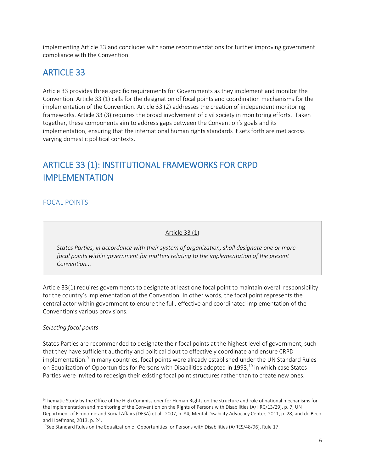implementing Article 33 and concludes with some recommendations for further improving government compliance with the Convention.

## <span id="page-5-0"></span>ARTICLE 33

Article 33 provides three specific requirements for Governments as they implement and monitor the Convention. Article 33 (1) calls for the designation of focal points and coordination mechanisms for the implementation of the Convention. Article 33 (2) addresses the creation of independent monitoring frameworks. Article 33 (3) requires the broad involvement of civil society in monitoring efforts. Taken together, these components aim to address gaps between the Convention's goals and its implementation, ensuring that the international human rights standards it sets forth are met across varying domestic political contexts.

## ARTICLE 33 (1): INSTITUTIONAL FRAMEWORKS FOR CRPD IMPLEMENTATION

### <span id="page-5-1"></span>FOCAL POINTS

Article 33 (1)

*States Parties, in accordance with their system of organization, shall designate one or more focal points within government for matters relating to the implementation of the present Convention...*

Article 33(1) requires governments to designate at least one focal point to maintain overall responsibility for the country's implementation of the Convention. In other words, the focal point represents the central actor within government to ensure the full, effective and coordinated implementation of the Convention's various provisions.

#### *Selecting focal points*

 $\overline{a}$ 

States Parties are recommended to designate their focal points at the highest level of government, such that they have sufficient authority and political clout to effectively coordinate and ensure CRPD implementation.<sup>9</sup> In many countries, focal points were already established under the UN Standard Rules on Equalization of Opportunities for Persons with Disabilities adopted in 1993,<sup>10</sup> in which case States Parties were invited to redesign their existing focal point structures rather than to create new ones.

<sup>9</sup>Thematic Study by the Office of the High Commissioner for Human Rights on the structure and role of national mechanisms for the implementation and monitoring of the Convention on the Rights of Persons with Disabilities (A/HRC/13/29), p. 7; UN Department of Economic and Social Affairs (DESA) et al., 2007, p. 84; Mental Disability Advocacy Center, 2011, p. 28; and de Beco and Hoefmans, 2013, p. 24.

<sup>&</sup>lt;sup>10</sup>See Standard Rules on the Equalization of Opportunities for Persons with Disabilities (A/RES/48/96), Rule 17.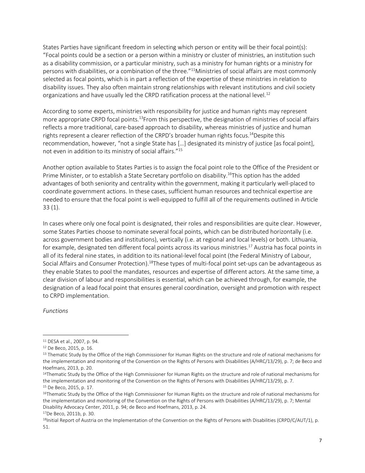States Parties have significant freedom in selecting which person or entity will be their focal point(s): "Focal points could be a section or a person within a ministry or cluster of ministries, an institution such as a disability commission, or a particular ministry, such as a ministry for human rights or a ministry for persons with disabilities, or a combination of the three."<sup>11</sup>Ministries of social affairs are most commonly selected as focal points, which is in part a reflection of the expertise of these ministries in relation to disability issues. They also often maintain strong relationships with relevant institutions and civil society organizations and have usually led the CRPD ratification process at the national level.<sup>12</sup>

According to some experts, ministries with responsibility for justice and human rights may represent more appropriate CRPD focal points.<sup>13</sup>From this perspective, the designation of ministries of social affairs reflects a more traditional, care-based approach to disability, whereas ministries of justice and human rights represent a clearer reflection of the CRPD's broader human rights focus. <sup>14</sup>Despite this recommendation, however, "not a single State has […] designated its ministry of justice [as focal point], not even in addition to its ministry of social affairs."<sup>15</sup>

Another option available to States Parties is to assign the focal point role to the Office of the President or Prime Minister, or to establish a State Secretary portfolio on disability.<sup>16</sup>This option has the added advantages of both seniority and centrality within the government, making it particularly well-placed to coordinate government actions. In these cases, sufficient human resources and technical expertise are needed to ensure that the focal point is well-equipped to fulfill all of the requirements outlined in Article 33 (1).

In cases where only one focal point is designated, their roles and responsibilities are quite clear. However, some States Parties choose to nominate several focal points, which can be distributed horizontally (i.e. across government bodies and institutions), vertically (i.e. at regional and local levels) or both. Lithuania, for example, designated ten different focal points across its various ministries.<sup>17</sup> Austria has focal points in all of its federal nine states, in addition to its national-level focal point (the Federal Ministry of Labour, Social Affairs and Consumer Protection).<sup>18</sup>These types of multi-focal point set-ups can be advantageous as they enable States to pool the mandates, resources and expertise of different actors. At the same time, a clear division of labour and responsibilities is essential, which can be achieved through, for example, the designation of a lead focal point that ensures general coordination, oversight and promotion with respect to CRPD implementation.

*Functions*

l

<sup>11</sup> DESA et al., 2007, p. 94.

<sup>12</sup> De Beco, 2015, p. 16.

<sup>&</sup>lt;sup>13</sup> Thematic Study by the Office of the High Commissioner for Human Rights on the structure and role of national mechanisms for the implementation and monitoring of the Convention on the Rights of Persons with Disabilities (A/HRC/13/29), p. 7; de Beco and Hoefmans, 2013, p. 20.

<sup>&</sup>lt;sup>14</sup>Thematic Study by the Office of the High Commissioner for Human Rights on the structure and role of national mechanisms for the implementation and monitoring of the Convention on the Rights of Persons with Disabilities (A/HRC/13/29), p. 7. <sup>15</sup> De Beco, 2015, p. 17.

<sup>16</sup>Thematic Study by the Office of the High Commissioner for Human Rights on the structure and role of national mechanisms for the implementation and monitoring of the Convention on the Rights of Persons with Disabilities (A/HRC/13/29), p. 7; Mental Disability Advocacy Center, 2011, p. 94; de Beco and Hoefmans, 2013, p. 24.

<sup>17</sup>De Beco, 2011b, p. 30.

<sup>18</sup>Initial Report of Austria on the Implementation of the Convention on the Rights of Persons with Disabilities (CRPD/C/AUT/1), p. 51.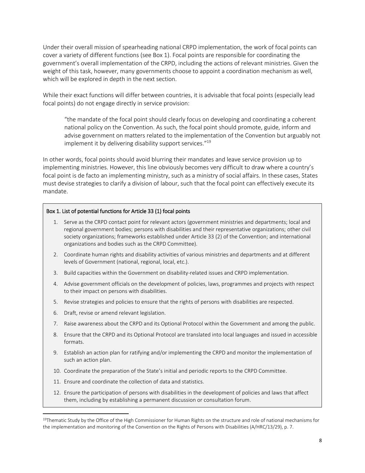Under their overall mission of spearheading national CRPD implementation, the work of focal points can cover a variety of different functions (see Box 1). Focal points are responsible for coordinating the government's overall implementation of the CRPD, including the actions of relevant ministries. Given the weight of this task, however, many governments choose to appoint a coordination mechanism as well, which will be explored in depth in the next section.

While their exact functions will differ between countries, it is advisable that focal points (especially lead focal points) do not engage directly in service provision:

"the mandate of the focal point should clearly focus on developing and coordinating a coherent national policy on the Convention. As such, the focal point should promote, guide, inform and advise government on matters related to the implementation of the Convention but arguably not implement it by delivering disability support services." 19

In other words, focal points should avoid blurring their mandates and leave service provision up to implementing ministries. However, this line obviously becomes very difficult to draw where a country's focal point is de facto an implementing ministry, such as a ministry of social affairs. In these cases, States must devise strategies to clarify a division of labour, such that the focal point can effectively execute its mandate.

#### Box 1. List of potential functions for Article 33 (1) focal points

- 1. Serve as the CRPD contact point for relevant actors (government ministries and departments; local and regional government bodies; persons with disabilities and their representative organizations; other civil society organizations; frameworks established under Article 33 (2) of the Convention; and international organizations and bodies such as the CRPD Committee).
- 2. Coordinate human rights and disability activities of various ministries and departments and at different levels of Government (national, regional, local, etc.).
- 3. Build capacities within the Government on disability-related issues and CRPD implementation.
- 4. Advise government officials on the development of policies, laws, programmes and projects with respect to their impact on persons with disabilities.
- 5. Revise strategies and policies to ensure that the rights of persons with disabilities are respected.
- 6. Draft, revise or amend relevant legislation.

 $\overline{a}$ 

- 7. Raise awareness about the CRPD and its Optional Protocol within the Government and among the public.
- 8. Ensure that the CRPD and its Optional Protocol are translated into local languages and issued in accessible formats.
- 9. Establish an action plan for ratifying and/or implementing the CRPD and monitor the implementation of such an action plan.
- 10. Coordinate the preparation of the State's initial and periodic reports to the CRPD Committee.
- 11. Ensure and coordinate the collection of data and statistics.
- 12. Ensure the participation of persons with disabilities in the development of policies and laws that affect them, including by establishing a permanent discussion or consultation forum.

<sup>&</sup>lt;sup>19</sup>Thematic Study by the Office of the High Commissioner for Human Rights on the structure and role of national mechanisms for the implementation and monitoring of the Convention on the Rights of Persons with Disabilities (A/HRC/13/29), p. 7.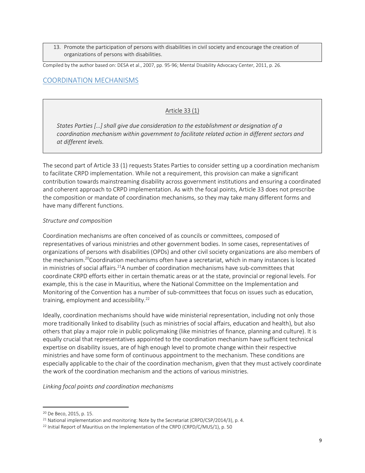13. Promote the participation of persons with disabilities in civil society and encourage the creation of organizations of persons with disabilities.

Compiled by the author based on: DESA et al., 2007, pp. 95-96; Mental Disability Advocacy Center, 2011, p. 26.

## <span id="page-8-0"></span>COORDINATION MECHANISMS

#### Article 33 (1)

*States Parties […] shall give due consideration to the establishment or designation of a coordination mechanism within government to facilitate related action in different sectors and at different levels.*

The second part of Article 33 (1) requests States Parties to consider setting up a coordination mechanism to facilitate CRPD implementation. While not a requirement, this provision can make a significant contribution towards mainstreaming disability across government institutions and ensuring a coordinated and coherent approach to CRPD implementation. As with the focal points, Article 33 does not prescribe the composition or mandate of coordination mechanisms, so they may take many different forms and have many different functions.

#### *Structure and composition*

Coordination mechanisms are often conceived of as councils or committees, composed of representatives of various ministries and other government bodies. In some cases, representatives of organizations of persons with disabilities (OPDs) and other civil society organizations are also members of the mechanism.<sup>20</sup>Coordination mechanisms often have a secretariat, which in many instances is located in ministries of social affairs.<sup>21</sup>A number of coordination mechanisms have sub-committees that coordinate CRPD efforts either in certain thematic areas or at the state, provincial or regional levels. For example, this is the case in Mauritius, where the National Committee on the Implementation and Monitoring of the Convention has a number of sub-committees that focus on issues such as education, training, employment and accessibility. $^{22}$ 

Ideally, coordination mechanisms should have wide ministerial representation, including not only those more traditionally linked to disability (such as ministries of social affairs, education and health), but also others that play a major role in public policymaking (like ministries of finance, planning and culture). It is equally crucial that representatives appointed to the coordination mechanism have sufficient technical expertise on disability issues, are of high enough level to promote change within their respective ministries and have some form of continuous appointment to the mechanism. These conditions are especially applicable to the chair of the coordination mechanism, given that they must actively coordinate the work of the coordination mechanism and the actions of various ministries.

*Linking focal points and coordination mechanisms*

 $\overline{\phantom{a}}$ 

<sup>20</sup> De Beco, 2015, p. 15.

<sup>&</sup>lt;sup>21</sup> National implementation and monitoring: Note by the Secretariat (CRPD/CSP/2014/3), p. 4.

<sup>&</sup>lt;sup>22</sup> Initial Report of Mauritius on the Implementation of the CRPD (CRPD/C/MUS/1), p. 50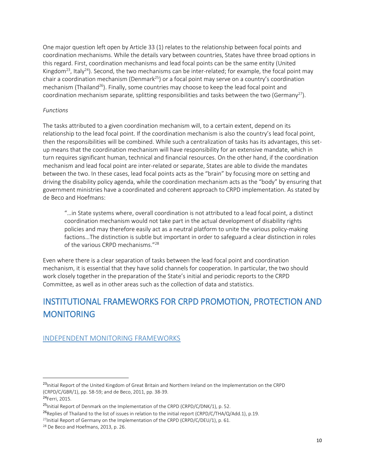One major question left open by Article 33 (1) relates to the relationship between focal points and coordination mechanisms. While the details vary between countries, States have three broad options in this regard. First, coordination mechanisms and lead focal points can be the same entity (United Kingdom<sup>23</sup>, Italy<sup>24</sup>). Second, the two mechanisms can be inter-related; for example, the focal point may chair a coordination mechanism (Denmark<sup>25</sup>) or a focal point may serve on a country's coordination mechanism (Thailand<sup>26</sup>). Finally, some countries may choose to keep the lead focal point and coordination mechanism separate, splitting responsibilities and tasks between the two (Germany<sup>27</sup>).

#### *Functions*

The tasks attributed to a given coordination mechanism will, to a certain extent, depend on its relationship to the lead focal point. If the coordination mechanism is also the country's lead focal point, then the responsibilities will be combined. While such a centralization of tasks has its advantages, this setup means that the coordination mechanism will have responsibility for an extensive mandate, which in turn requires significant human, technical and financial resources. On the other hand, if the coordination mechanism and lead focal point are inter-related or separate, States are able to divide the mandates between the two. In these cases, lead focal points acts as the "brain" by focusing more on setting and driving the disability policy agenda, while the coordination mechanism acts as the "body" by ensuring that government ministries have a coordinated and coherent approach to CRPD implementation. As stated by de Beco and Hoefmans:

"…in State systems where, overall coordination is not attributed to a lead focal point, a distinct coordination mechanism would not take part in the actual development of disability rights policies and may therefore easily act as a neutral platform to unite the various policy-making factions…The distinction is subtle but important in order to safeguard a clear distinction in roles of the various CRPD mechanisms." 28

Even where there is a clear separation of tasks between the lead focal point and coordination mechanism, it is essential that they have solid channels for cooperation. In particular, the two should work closely together in the preparation of the State's initial and periodic reports to the CRPD Committee, as well as in other areas such as the collection of data and statistics.

# <span id="page-9-0"></span>INSTITUTIONAL FRAMEWORKS FOR CRPD PROMOTION, PROTECTION AND **MONITORING**

### <span id="page-9-1"></span>INDEPENDENT MONITORING FRAMEWORKS

l

<sup>&</sup>lt;sup>23</sup>Initial Report of the United Kingdom of Great Britain and Northern Ireland on the Implementation on the CRPD (CRPD/C/GBR/1), pp. 58-59; and de Beco, 2011, pp. 38-39.

<sup>24</sup>Ferri, 2015.

<sup>&</sup>lt;sup>25</sup>Initial Report of Denmark on the Implementation of the CRPD (CRPD/C/DNK/1), p. 52.

<sup>&</sup>lt;sup>26</sup>Replies of Thailand to the list of issues in relation to the initial report (CRPD/C/THA/Q/Add.1), p.19.

<sup>&</sup>lt;sup>27</sup>Initial Report of Germany on the Implementation of the CRPD (CRPD/C/DEU/1), p. 61.

<sup>28</sup> De Beco and Hoefmans, 2013, p. 26.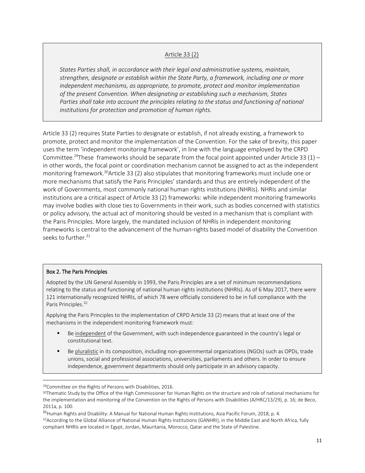#### Article 33 (2)

*States Parties shall, in accordance with their legal and administrative systems, maintain, strengthen, designate or establish within the State Party, a framework, including one or more independent mechanisms, as appropriate, to promote, protect and monitor implementation of the present Convention. When designating or establishing such a mechanism, States Parties shall take into account the principles relating to the status and functioning of national institutions for protection and promotion of human rights.*

Article 33 (2) requires State Parties to designate or establish, if not already existing, a framework to promote, protect and monitor the implementation of the Convention. For the sake of brevity, this paper uses the term 'independent monitoring framework', in line with the language employed by the CRPD Committee.<sup>29</sup>These frameworks should be separate from the focal point appointed under Article 33 (1) – in other words, the focal point or coordination mechanism cannot be assigned to act as the independent monitoring framework.<sup>30</sup>Article 33 (2) also stipulates that monitoring frameworks must include one or more mechanisms that satisfy the Paris Principles' standards and thus are entirely independent of the work of Governments, most commonly national human rights institutions (NHRIs). NHRIs and similar institutions are a critical aspect of Article 33 (2) frameworks: while independent monitoring frameworks may involve bodies with close ties to Governments in their work, such as bodies concerned with statistics or policy advisory, the actual act of monitoring should be vested in a mechanism that is compliant with the Paris Principles. More largely, the mandated inclusion of NHRIs in independent monitoring frameworks is central to the advancement of the human-rights based model of disability the Convention seeks to further.<sup>31</sup>

#### Box 2. The Paris Principles

l

Adopted by the UN General Assembly in 1993, the Paris Principles are a set of minimum recommendations relating to the status and functioning of national human rights institutions (NHRIs). As of 6 May 2017, there were 121 internationally recognized NHRIs, of which 78 were officially considered to be in full compliance with the Paris Principles.<sup>32</sup>

Applying the Paris Principles to the implementation of CRPD Article 33 (2) means that at least one of the mechanisms in the independent monitoring framework must:

- **■** Be independent of the Government, with such independence guaranteed in the country's legal or constitutional text.
- Be pluralistic in its composition, including non-governmental organizations (NGOs) such as OPDs, trade unions, social and professional associations, universities, parliaments and others. In order to ensure independence, government departments should only participate in an advisory capacity.

<sup>29</sup>Committee on the Rights of Persons with Disabilities, 2016.

<sup>&</sup>lt;sup>30</sup>Thematic Study by the Office of the High Commissioner for Human Rights on the structure and role of national mechanisms for the implementation and monitoring of the Convention on the Rights of Persons with Disabilities (A/HRC/13/29), p. 16; de Beco, 2011a, p. 100.

<sup>&</sup>lt;sup>31</sup> Human Rights and Disability: A Manual for National Human Rights Institutions, Asia Pacific Forum, 2018, p. 4.

<sup>32</sup>According to the Global Alliance of National Human Rights Institutions (GANHRI), in the Middle East and North Africa, fully compliant NHRIs are located in Egypt, Jordan, Mauritania, Morocco, Qatar and the State of Palestine.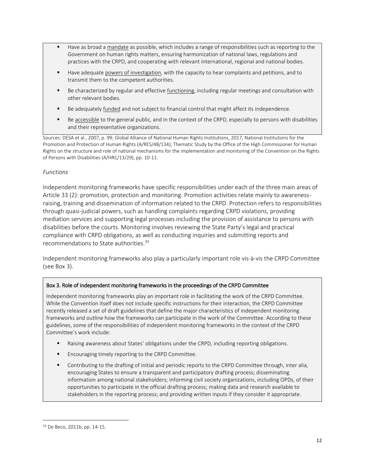- Have as broad a mandate as possible, which includes a range of responsibilities such as reporting to the Government on human rights matters, ensuring harmonization of national laws, regulations and practices with the CRPD, and cooperating with relevant international, regional and national bodies.
- Have adequate powers of investigation, with the capacity to hear complaints and petitions, and to transmit them to the competent authorities.
- Be characterized by regular and effective functioning, including regular meetings and consultation with other relevant bodies.
- Be adequately funded and not subject to financial control that might affect its independence.
- Be accessible to the general public, and in the context of the CRPD, especially to persons with disabilities and their representative organizations.

Sources: DESA et al., 2007, p. 99; Global Alliance of National Human Rights Institutions, 2017; National Institutions for the Promotion and Protection of Human Rights (A/RES/48/134); Thematic Study by the Office of the High Commissioner for Human Rights on the structure and role of national mechanisms for the implementation and monitoring of the Convention on the Rights of Persons with Disabilities (A/HRC/13/29), pp. 10-11.

#### *Functions*

Independent monitoring frameworks have specific responsibilities under each of the three main areas of Article 33 (2): promotion, protection and monitoring. Promotion activities relate mainly to awarenessraising, training and dissemination of information related to the CRPD. Protection refers to responsibilities through quasi-judicial powers, such as handling complaints regarding CRPD violations, providing mediation services and supporting legal processes including the provision of assistance to persons with disabilities before the courts. Monitoring involves reviewing the State Party's legal and practical compliance with CRPD obligations, as well as conducting inquiries and submitting reports and recommendations to State authorities.<sup>33</sup>

Independent monitoring frameworks also play a particularly important role vis-à-vis the CRPD Committee (see Box 3).

#### Box 3. Role of independent monitoring frameworks in the proceedings of the CRPD Committee

Independent monitoring frameworks play an important role in facilitating the work of the CRPD Committee. While the Convention itself does not include specific instructions for their interaction, the CRPD Committee recently released a set of draft guidelines that define the major characteristics of independent monitoring frameworks and outline how the frameworks can participate in the work of the Committee. According to these guidelines, some of the responsibilities of independent monitoring frameworks in the context of the CRPD Committee's work include:

- Raising awareness about States' obligations under the CRPD, including reporting obligations.
- Encouraging timely reporting to the CRPD Committee.
- Contributing to the drafting of initial and periodic reports to the CRPD Committee through, inter alia, encouraging States to ensure a transparent and participatory drafting process; disseminating information among national stakeholders; informing civil society organizations, including OPDs, of their opportunities to participate in the official drafting process; making data and research available to stakeholders in the reporting process; and providing written inputs if they consider it appropriate.

 $\overline{a}$ 

<sup>33</sup> De Beco, 2011b, pp. 14-15.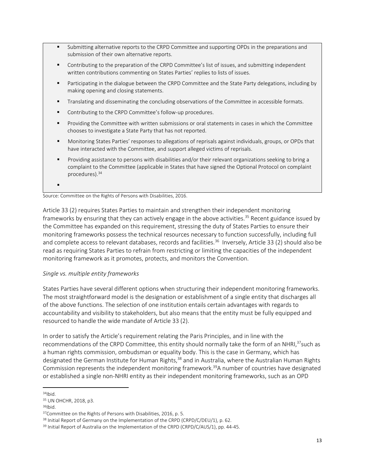- Submitting alternative reports to the CRPD Committee and supporting OPDs in the preparations and submission of their own alternative reports.
- Contributing to the preparation of the CRPD Committee's list of issues, and submitting independent written contributions commenting on States Parties' replies to lists of issues.
- Participating in the dialogue between the CRPD Committee and the State Party delegations, including by making opening and closing statements.
- Translating and disseminating the concluding observations of the Committee in accessible formats.
- Contributing to the CRPD Committee's follow-up procedures.
- Providing the Committee with written submissions or oral statements in cases in which the Committee chooses to investigate a State Party that has not reported.
- Monitoring States Parties' responses to allegations of reprisals against individuals, groups, or OPDs that have interacted with the Committee, and support alleged victims of reprisals.
- Providing assistance to persons with disabilities and/or their relevant organizations seeking to bring a complaint to the Committee (applicable in States that have signed the Optional Protocol on complaint procedures). 34

▪

Source: Committee on the Rights of Persons with Disabilities, 2016.

Article 33 (2) requires States Parties to maintain and strengthen their independent monitoring frameworks by ensuring that they can actively engage in the above activities.<sup>35</sup> Recent guidance issued by the Committee has expanded on this requirement, stressing the duty of States Parties to ensure their monitoring frameworks possess the technical resources necessary to function successfully, including full and complete access to relevant databases, records and facilities.<sup>36</sup> Inversely, Article 33 (2) should also be read as requiring States Parties to refrain from restricting or limiting the capacities of the independent monitoring framework as it promotes, protects, and monitors the Convention.

#### *Single vs. multiple entity frameworks*

States Parties have several different options when structuring their independent monitoring frameworks. The most straightforward model is the designation or establishment of a single entity that discharges all of the above functions. The selection of one institution entails certain advantages with regards to accountability and visibility to stakeholders, but also means that the entity must be fully equipped and resourced to handle the wide mandate of Article 33 (2).

In order to satisfy the Article's requirement relating the Paris Principles, and in line with the recommendations of the CRPD Committee, this entity should normally take the form of an NHRI,<sup>37</sup>such as a human rights commission, ombudsman or equality body. This is the case in Germany, which has designated the German Institute for Human Rights,<sup>38</sup> and in Australia, where the Australian Human Rights Commission represents the independent monitoring framework. <sup>39</sup>A number of countries have designated or established a single non-NHRI entity as their independent monitoring frameworks, such as an OPD

 $36$ Ibid.

 $\overline{\phantom{a}}$ <sup>34</sup>Ibid.

<sup>35</sup> UN OHCHR, 2018, p3.

<sup>37</sup>Committee on the Rights of Persons with Disabilities, 2016, p. 5.

<sup>38</sup> Initial Report of Germany on the Implementation of the CRPD (CRPD/C/DEU/1), p. 62.

<sup>&</sup>lt;sup>39</sup> Initial Report of Australia on the Implementation of the CRPD (CRPD/C/AUS/1), pp. 44-45.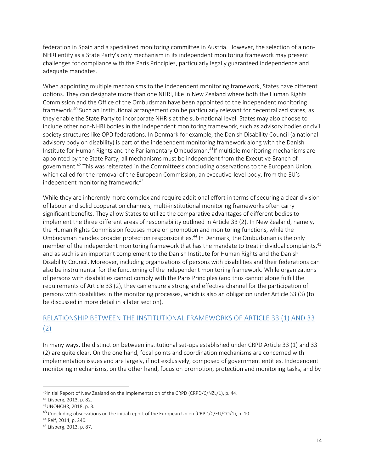federation in Spain and a specialized monitoring committee in Austria. However, the selection of a non-NHRI entity as a State Party's only mechanism in its independent monitoring framework may present challenges for compliance with the Paris Principles, particularly legally guaranteed independence and adequate mandates.

When appointing multiple mechanisms to the independent monitoring framework, States have different options. They can designate more than one NHRI, like in New Zealand where both the Human Rights Commission and the Office of the Ombudsman have been appointed to the independent monitoring framework.<sup>40</sup> Such an institutional arrangement can be particularly relevant for decentralized states, as they enable the State Party to incorporate NHRIs at the sub-national level. States may also choose to include other non-NHRI bodies in the independent monitoring framework, such as advisory bodies or civil society structures like OPD federations. In Denmark for example, the Danish Disability Council (a national advisory body on disability) is part of the independent monitoring framework along with the Danish Institute for Human Rights and the Parliamentary Ombudsman.<sup>41</sup>If multiple monitoring mechanisms are appointed by the State Party, all mechanisms must be independent from the Executive Branch of government.<sup>42</sup> This was reiterated in the Committee's concluding observations to the European Union, which called for the removal of the European Commission, an executive-level body, from the EU's independent monitoring framework.<sup>43</sup>

While they are inherently more complex and require additional effort in terms of securing a clear division of labour and solid cooperation channels, multi-institutional monitoring frameworks often carry significant benefits. They allow States to utilize the comparative advantages of different bodies to implement the three different areas of responsibility outlined in Article 33 (2). In New Zealand, namely, the Human Rights Commission focuses more on promotion and monitoring functions, while the Ombudsman handles broader protection responsibilities.<sup>44</sup> In Denmark, the Ombudsman is the only member of the independent monitoring framework that has the mandate to treat individual complaints,<sup>45</sup> and as such is an important complement to the Danish Institute for Human Rights and the Danish Disability Council. Moreover, including organizations of persons with disabilities and their federations can also be instrumental for the functioning of the independent monitoring framework. While organizations of persons with disabilities cannot comply with the Paris Principles (and thus cannot alone fulfill the requirements of Article 33 (2), they can ensure a strong and effective channel for the participation of persons with disabilities in the monitoring processes, which is also an obligation under Article 33 (3) (to be discussed in more detail in a later section).

## <span id="page-13-0"></span>RELATIONSHIP BETWEEN THE INSTITUTIONAL FRAMEWORKS OF ARTICLE 33 (1) AND 33 (2)

In many ways, the distinction between institutional set-ups established under CRPD Article 33 (1) and 33 (2) are quite clear. On the one hand, focal points and coordination mechanisms are concerned with implementation issues and are largely, if not exclusively, composed of government entities. Independent monitoring mechanisms, on the other hand, focus on promotion, protection and monitoring tasks, and by

 $\overline{\phantom{a}}$ 

<sup>40</sup>Initial Report of New Zealand on the Implementation of the CRPD (CRPD/C/NZL/1), p. 44.

<sup>41</sup> Liisberg, 2013, p. 82.

<sup>42</sup>UNOHCHR, 2018, p. 3.

<sup>&</sup>lt;sup>43</sup> Concluding observations on the initial report of the European Union (CRPD/C/EU/CO/1), p. 10.

<sup>44</sup> Reif, 2014, p. 240.

<sup>45</sup> Liisberg, 2013, p. 87.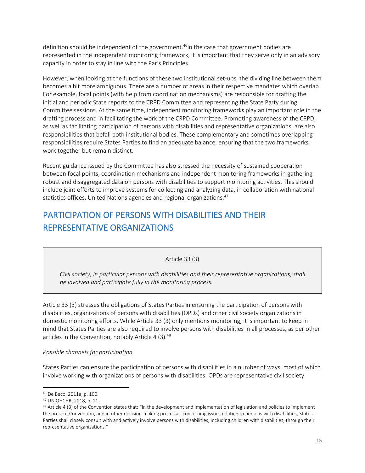definition should be independent of the government.<sup>46</sup>In the case that government bodies are represented in the independent monitoring framework, it is important that they serve only in an advisory capacity in order to stay in line with the Paris Principles.

However, when looking at the functions of these two institutional set-ups, the dividing line between them becomes a bit more ambiguous. There are a number of areas in their respective mandates which overlap. For example, focal points (with help from coordination mechanisms) are responsible for drafting the initial and periodic State reports to the CRPD Committee and representing the State Party during Committee sessions. At the same time, independent monitoring frameworks play an important role in the drafting process and in facilitating the work of the CRPD Committee. Promoting awareness of the CRPD, as well as facilitating participation of persons with disabilities and representative organizations, are also responsibilities that befall both institutional bodies. These complementary and sometimes overlapping responsibilities require States Parties to find an adequate balance, ensuring that the two frameworks work together but remain distinct.

Recent guidance issued by the Committee has also stressed the necessity of sustained cooperation between focal points, coordination mechanisms and independent monitoring frameworks in gathering robust and disaggregated data on persons with disabilities to support monitoring activities. This should include joint efforts to improve systems for collecting and analyzing data, in collaboration with national statistics offices, United Nations agencies and regional organizations.<sup>47</sup>

## <span id="page-14-0"></span>PARTICIPATION OF PERSONS WITH DISABILITIES AND THEIR REPRESENTATIVE ORGANIZATIONS

#### Article 33 (3)

*Civil society, in particular persons with disabilities and their representative organizations, shall be involved and participate fully in the monitoring process.*

Article 33 (3) stresses the obligations of States Parties in ensuring the participation of persons with disabilities, organizations of persons with disabilities (OPDs) and other civil society organizations in domestic monitoring efforts. While Article 33 (3) only mentions monitoring, it is important to keep in mind that States Parties are also required to involve persons with disabilities in all processes, as per other articles in the Convention, notably Article 4 (3).<sup>48</sup>

#### *Possible channels for participation*

States Parties can ensure the participation of persons with disabilities in a number of ways, most of which involve working with organizations of persons with disabilities. OPDs are representative civil society

 $\overline{\phantom{a}}$ 

<sup>46</sup> De Beco, 2011a, p. 100.

<sup>47</sup> UN OHCHR, 2018, p. 11.

<sup>48</sup> Article 4 (3) of the Convention states that: "In the development and implementation of legislation and policies to implement the present Convention, and in other decision-making processes concerning issues relating to persons with disabilities, States Parties shall closely consult with and actively involve persons with disabilities, including children with disabilities, through their representative organizations."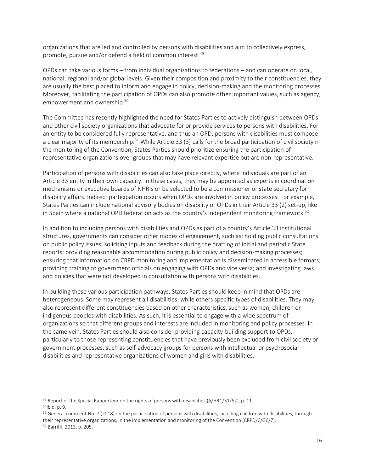organizations that are led and controlled by persons with disabilities and aim to collectively express, promote, pursue and/or defend a field of common interest.<sup>49</sup>

OPDs can take various forms – from individual organizations to federations – and can operate on local, national, regional and/or global levels. Given their composition and proximity to their constituencies, they are usually the best placed to inform and engage in policy, decision-making and the monitoring processes. Moreover, facilitating the participation of OPDs can also promote other important values, such as agency, empowerment and ownership.<sup>50</sup>

The Committee has recently highlighted the need for States Parties to actively distinguish between OPDs and other civil society organizations that advocate for or provide services to persons with disabilities. For an entity to be considered fully representative, and thus an OPD, persons with disabilities must compose a clear majority of its membership.<sup>51</sup> While Article 33 (3) calls for the broad participation of civil society in the monitoring of the Convention, States Parties should prioritize ensuring the participation of representative organizations over groups that may have relevant expertise but are non-representative.

Participation of persons with disabilities can also take place directly, where individuals are part of an Article 33 entity in their own capacity. In these cases, they may be appointed as experts in coordination mechanisms or executive boards of NHRIs or be selected to be a commissioner or state secretary for disability affairs. Indirect participation occurs when OPDs are involved in policy processes. For example, States Parties can include national advisory bodies on disability or OPDs in their Article 33 (2) set-up, like in Spain where a national OPD federation acts as the country's independent monitoring framework. 52

In addition to including persons with disabilities and OPDs as part of a country's Article 33 institutional structures, governments can consider other modes of engagement, such as: holding public consultations on public policy issues; soliciting inputs and feedback during the drafting of initial and periodic State reports; providing reasonable accommodation during public policy and decision-making processes; ensuring that information on CRPD monitoring and implementation is disseminated in accessible formats; providing training to government officials on engaging with OPDs and vice versa; and investigating laws and policies that were not developed in consultation with persons with disabilities.

In building these various participation pathways, States Parties should keep in mind that OPDs are heterogeneous. Some may represent all disabilities, while others specific types of disabilities. They may also represent different constituencies based on other characteristics, such as women, children or indigenous peoples with disabilities. As such, it is essential to engage with a wide spectrum of organizations so that different groups and interests are included in monitoring and policy processes. In the same vein, States Parties should also consider providing capacity-building support to OPDs, particularly to those representing constituencies that have previously been excluded from civil society or government processes, such as self-advocacy groups for persons with intellectual or psychosocial disabilities and representative organizations of women and girls with disabilities.

 $\overline{a}$ 

<sup>&</sup>lt;sup>49</sup> Report of the Special Rapporteur on the rights of persons with disabilities (A/HRC/31/62), p. 11. <sup>50</sup>Ibid, p. 9.

<sup>51</sup> General comment No. 7 (2018) on the participation of persons with disabilities, including children with disabilities, through their representative organizations, in the implementation and monitoring of the Convention (CRPD/C/GC/7). <sup>52</sup> Barriffi, 2013, p. 205.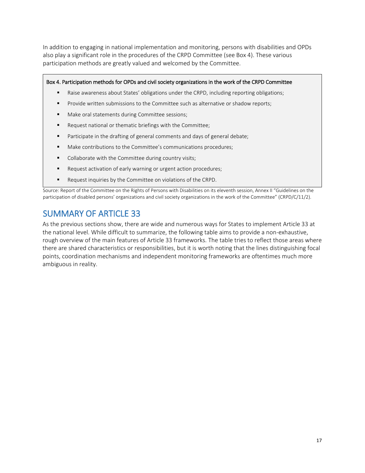In addition to engaging in national implementation and monitoring, persons with disabilities and OPDs also play a significant role in the procedures of the CRPD Committee (see Box 4). These various participation methods are greatly valued and welcomed by the Committee.

#### Box 4. Participation methods for OPDs and civil society organizations in the work of the CRPD Committee

- Raise awareness about States' obligations under the CRPD, including reporting obligations;
- Provide written submissions to the Committee such as alternative or shadow reports;
- Make oral statements during Committee sessions;
- Request national or thematic briefings with the Committee;
- Participate in the drafting of general comments and days of general debate;
- Make contributions to the Committee's communications procedures;
- Collaborate with the Committee during country visits;
- Request activation of early warning or urgent action procedures;
- Request inquiries by the Committee on violations of the CRPD.

Source: Report of the Committee on the Rights of Persons with Disabilities on its eleventh session, Annex II "Guidelines on the participation of disabled persons' organizations and civil society organizations in the work of the Committee" (CRPD/C/11/2).

## <span id="page-16-0"></span>SUMMARY OF ARTICLE 33

As the previous sections show, there are wide and numerous ways for States to implement Article 33 at the national level. While difficult to summarize, the following table aims to provide a non-exhaustive, rough overview of the main features of Article 33 frameworks. The table tries to reflect those areas where there are shared characteristics or responsibilities, but it is worth noting that the lines distinguishing focal points, coordination mechanisms and independent monitoring frameworks are oftentimes much more ambiguous in reality.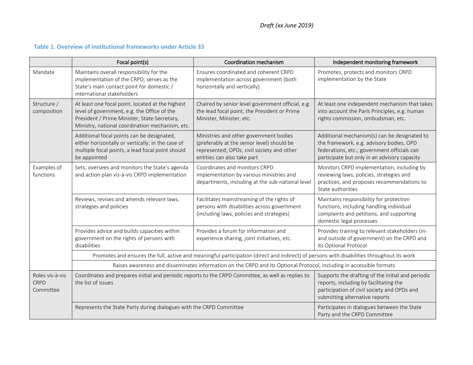## **Table 1. Overview of institutional frameworks under Article 33**

<span id="page-17-0"></span>

|                                             | Focal point(s)                                                                                                                                                                                     | Coordination mechanism                                                                                                                                            | Independent monitoring framework                                                                                                                                                        |  |  |
|---------------------------------------------|----------------------------------------------------------------------------------------------------------------------------------------------------------------------------------------------------|-------------------------------------------------------------------------------------------------------------------------------------------------------------------|-----------------------------------------------------------------------------------------------------------------------------------------------------------------------------------------|--|--|
| Mandate                                     | Maintains overall responsibility for the<br>implementation of the CRPD; serves as the<br>State's main contact point for domestic /<br>international stakeholders                                   | Ensures coordinated and coherent CRPD<br>implementation across government (both<br>horizontally and vertically)                                                   | Promotes, protects and monitors CRPD<br>implementation by the State                                                                                                                     |  |  |
| Structure /<br>composition                  | At least one focal point, located at the highest<br>level of government, e.g. the Office of the<br>President / Prime Minister, State Secretary,<br>Ministry, national coordination mechanism, etc. | Chaired by senior level government official, e.g.<br>the lead focal point, the President or Prime<br>Minister, Minister, etc.                                     | At least one independent mechanism that takes<br>into account the Paris Principles, e.g. human<br>rights commission, ombudsman, etc.                                                    |  |  |
|                                             | Additional focal points can be designated,<br>either horizontally or vertically; in the case of<br>multiple focal points, a lead focal point should<br>be appointed                                | Ministries and other government bodies<br>(preferably at the senior level) should be<br>represented; OPDs, civil society and other<br>entities can also take part | Additional mechanism(s) can be designated to<br>the framework, e.g. advisory bodies, OPD<br>federations, etc.; government officials can<br>participate but only in an advisory capacity |  |  |
| Examples of<br>functions                    | Sets, oversees and monitors the State's agenda<br>and action plan vis-à-vis CRPD implementation                                                                                                    | Coordinates and monitors CRPD<br>implementation by various ministries and<br>departments, including at the sub-national level                                     | Monitors CRPD implementation, including by<br>reviewing laws, policies, strategies and<br>practices, and proposes recommendations to<br>State authorities                               |  |  |
|                                             | Reviews, revises and amends relevant laws,<br>strategies and policies                                                                                                                              | Facilitates mainstreaming of the rights of<br>persons with disabilities across government<br>(including laws, policies and strategies)                            | Maintains responsibility for protection<br>functions, including handling individual<br>complaints and petitions, and supporting<br>domestic legal processes                             |  |  |
|                                             | Provides advice and builds capacities within<br>government on the rights of persons with<br>disabilities                                                                                           | Provides a forum for information and<br>experience sharing, joint initiatives, etc.                                                                               | Provides training to relevant stakeholders (in-<br>and outside of government) on the CRPD and<br>its Optional Protocol                                                                  |  |  |
|                                             | Promotes and ensures the full, active and meaningful participation (direct and indirect) of persons with disabilities throughout its work                                                          |                                                                                                                                                                   |                                                                                                                                                                                         |  |  |
|                                             | Raises awareness and disseminates information on the CRPD and its Optional Protocol, including in accessible formats                                                                               |                                                                                                                                                                   |                                                                                                                                                                                         |  |  |
| Roles vis-à-vis<br><b>CRPD</b><br>Committee | Coordinates and prepares initial and periodic reports to the CRPD Committee, as well as replies to<br>the list of issues                                                                           |                                                                                                                                                                   | Supports the drafting of the initial and periodic<br>reports, including by facilitating the<br>participation of civil society and OPDs and<br>submitting alternative reports            |  |  |
|                                             | Represents the State Party during dialogues with the CRPD Committee                                                                                                                                |                                                                                                                                                                   | Participates in dialogues between the State<br>Party and the CRPD Committee                                                                                                             |  |  |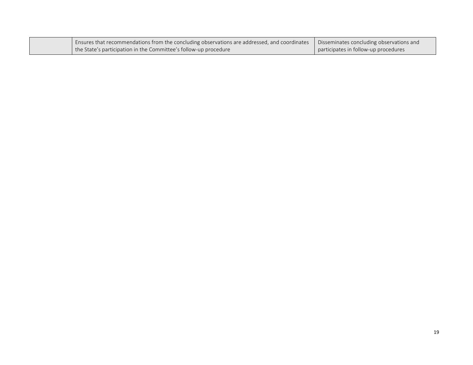| Ensures that recommendations from the concluding observations are addressed, and coordinates | Disseminates concluding observations and |
|----------------------------------------------------------------------------------------------|------------------------------------------|
| the State's participation in the Committee's follow-up procedure                             | participates in follow-up procedures     |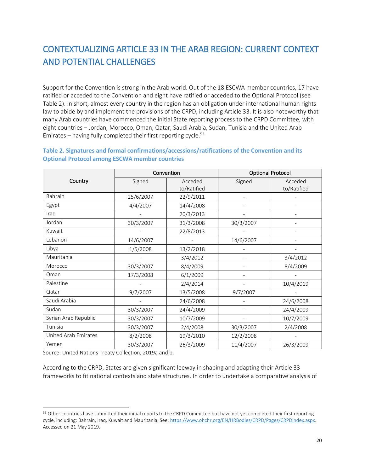# <span id="page-19-0"></span>CONTEXTUALIZING ARTICLE 33 IN THE ARAB REGION: CURRENT CONTEXT AND POTENTIAL CHALLENGES

Support for the Convention is strong in the Arab world. Out of the 18 ESCWA member countries, 17 have ratified or acceded to the Convention and eight have ratified or acceded to the Optional Protocol (see Table 2). In short, almost every country in the region has an obligation under international human rights law to abide by and implement the provisions of the CRPD, including Article 33. It is also noteworthy that many Arab countries have commenced the initial State reporting process to the CRPD Committee, with eight countries – Jordan, Morocco, Oman, Qatar, Saudi Arabia, Sudan, Tunisia and the United Arab Emirates – having fully completed their first reporting cycle. $53$ 

| Convention           |           |                        | <b>Optional Protocol</b> |                        |  |
|----------------------|-----------|------------------------|--------------------------|------------------------|--|
| Country              | Signed    | Acceded<br>to/Ratified | Signed                   | Acceded<br>to/Ratified |  |
| Bahrain              | 25/6/2007 | 22/9/2011              |                          |                        |  |
| Egypt                | 4/4/2007  | 14/4/2008              |                          |                        |  |
| Iraq                 |           | 20/3/2013              |                          |                        |  |
| Jordan               | 30/3/2007 | 31/3/2008              | 30/3/2007                |                        |  |
| Kuwait               |           | 22/8/2013              |                          |                        |  |
| Lebanon              | 14/6/2007 |                        | 14/6/2007                |                        |  |
| Libya                | 1/5/2008  | 13/2/2018              |                          |                        |  |
| Mauritania           |           | 3/4/2012               |                          | 3/4/2012               |  |
| Morocco              | 30/3/2007 | 8/4/2009               |                          | 8/4/2009               |  |
| Oman                 | 17/3/2008 | 6/1/2009               |                          |                        |  |
| Palestine            |           | 2/4/2014               |                          | 10/4/2019              |  |
| Qatar                | 9/7/2007  | 13/5/2008              | 9/7/2007                 |                        |  |
| Saudi Arabia         |           | 24/6/2008              |                          | 24/6/2008              |  |
| Sudan                | 30/3/2007 | 24/4/2009              |                          | 24/4/2009              |  |
| Syrian Arab Republic | 30/3/2007 | 10/7/2009              |                          | 10/7/2009              |  |
| Tunisia              | 30/3/2007 | 2/4/2008               | 30/3/2007                | 2/4/2008               |  |
| United Arab Emirates | 8/2/2008  | 19/3/2010              | 12/2/2008                |                        |  |
| Yemen                | 30/3/2007 | 26/3/2009              | 11/4/2007                | 26/3/2009              |  |

<span id="page-19-1"></span>**Table 2. Signatures and formal confirmations/accessions/ratifications of the Convention and its Optional Protocol among ESCWA member countries**

Source: United Nations Treaty Collection, 2019a and b.

 $\overline{\phantom{a}}$ 

According to the CRPD, States are given significant leeway in shaping and adapting their Article 33 frameworks to fit national contexts and state structures. In order to undertake a comparative analysis of

<sup>53</sup> Other countries have submitted their initial reports to the CRPD Committee but have not yet completed their first reporting cycle, including: Bahrain, Iraq, Kuwait and Mauritania. See: https://www.ohchr.org/EN/HRBodies/CRPD/Pages/CRPDIndex.aspx. Accessed on 21 May 2019.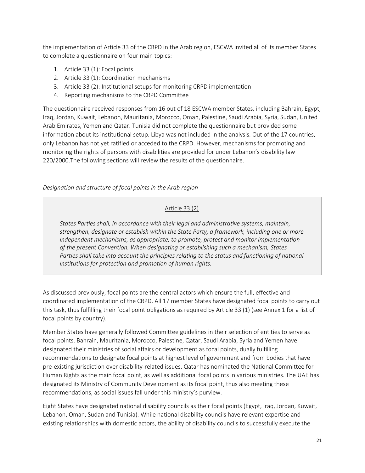the implementation of Article 33 of the CRPD in the Arab region, ESCWA invited all of its member States to complete a questionnaire on four main topics:

- 1. Article 33 (1): Focal points
- 2. Article 33 (1): Coordination mechanisms
- 3. Article 33 (2): Institutional setups for monitoring CRPD implementation
- 4. Reporting mechanisms to the CRPD Committee

The questionnaire received responses from 16 out of 18 ESCWA member States, including Bahrain, Egypt, Iraq, Jordan, Kuwait, Lebanon, Mauritania, Morocco, Oman, Palestine, Saudi Arabia, Syria, Sudan, United Arab Emirates, Yemen and Qatar. Tunisia did not complete the questionnaire but provided some information about its institutional setup. Libya was not included in the analysis. Out of the 17 countries, only Lebanon has not yet ratified or acceded to the CRPD. However, mechanisms for promoting and monitoring the rights of persons with disabilities are provided for under Lebanon's disability law 220/2000.The following sections will review the results of the questionnaire.

*Designation and structure of focal points in the Arab region*

### Article 33 (2)

*States Parties shall, in accordance with their legal and administrative systems, maintain, strengthen, designate or establish within the State Party, a framework, including one or more independent mechanisms, as appropriate, to promote, protect and monitor implementation of the present Convention. When designating or establishing such a mechanism, States Parties shall take into account the principles relating to the status and functioning of national institutions for protection and promotion of human rights.*

As discussed previously, focal points are the central actors which ensure the full, effective and coordinated implementation of the CRPD. All 17 member States have designated focal points to carry out this task, thus fulfilling their focal point obligations as required by Article 33 (1) (see Annex 1 for a list of focal points by country).

Member States have generally followed Committee guidelines in their selection of entities to serve as focal points. Bahrain, Mauritania, Morocco, Palestine, Qatar, Saudi Arabia, Syria and Yemen have designated their ministries of social affairs or development as focal points, dually fulfilling recommendations to designate focal points at highest level of government and from bodies that have pre-existing jurisdiction over disability-related issues. Qatar has nominated the National Committee for Human Rights as the main focal point, as well as additional focal points in various ministries. The UAE has designated its Ministry of Community Development as its focal point, thus also meeting these recommendations, as social issues fall under this ministry's purview.

Eight States have designated national disability councils as their focal points (Egypt, Iraq, Jordan, Kuwait, Lebanon, Oman, Sudan and Tunisia). While national disability councils have relevant expertise and existing relationships with domestic actors, the ability of disability councils to successfully execute the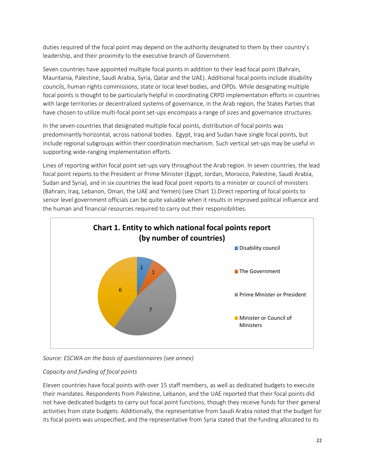duties required of the focal point may depend on the authority designated to them by their country's leadership, and their proximity to the executive branch of Government.

Seven countries have appointed multiple focal points in addition to their lead focal point (Bahrain, Mauritania, Palestine, Saudi Arabia, Syria, Qatar and the UAE). Additional focal points include disability councils, human rights commissions, state or local level bodies, and OPDs. While designating multiple focal points is thought to be particularly helpful in coordinating CRPD implementation efforts in countries with large territories or decentralized systems of governance, in the Arab region, the States Parties that have chosen to utilize multi-focal point set-ups encompass a range of sizes and governance structures.

In the seven countries that designated multiple focal points, distribution of focal points was predominantly horizontal, across national bodies. Egypt, Iraq and Sudan have single focal points, but include regional subgroups within their coordination mechanism. Such vertical set-ups may be useful in supporting wide-ranging implementation efforts.

Lines of reporting within focal point set-ups vary throughout the Arab region. In seven countries, the lead focal point reports to the President or Prime Minister (Egypt, Jordan, Morocco, Palestine, Saudi Arabia, Sudan and Syria), and in six countries the lead focal point reports to a minister or council of ministers (Bahrain, Iraq, Lebanon, Oman, the UAE and Yemen) (see Chart 1).Direct reporting of focal points to senior level government officials can be quite valuable when it results in improved political influence and the human and financial resources required to carry out their responsibilities.



*Source: ESCWA on the basis of questionnaires (see annex)*

### *Capacity and funding of focal points*

Eleven countries have focal points with over 15 staff members, as well as dedicated budgets to execute their mandates. Respondents from Palestine, Lebanon, and the UAE reported that their focal points did not have dedicated budgets to carry out focal point functions, though they receive funds for their general activities from state budgets. Additionally, the representative from Saudi Arabia noted that the budget for its focal points was unspecified, and the representative from Syria stated that the funding allocated to its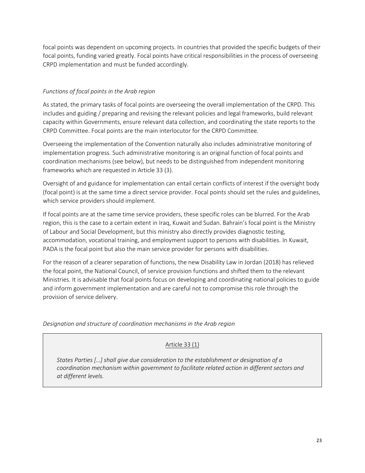focal points was dependent on upcoming projects. In countries that provided the specific budgets of their focal points, funding varied greatly. Focal points have critical responsibilities in the process of overseeing CRPD implementation and must be funded accordingly.

#### *Functions of focal points in the Arab region*

As stated, the primary tasks of focal points are overseeing the overall implementation of the CRPD. This includes and guiding / preparing and revising the relevant policies and legal frameworks, build relevant capacity within Governments, ensure relevant data collection, and coordinating the state reports to the CRPD Committee. Focal points are the main interlocutor for the CRPD Committee.

Overseeing the implementation of the Convention naturally also includes administrative monitoring of implementation progress. Such administrative monitoring is an original function of focal points and coordination mechanisms (see below), but needs to be distinguished from independent monitoring frameworks which are requested in Article 33 (3).

Oversight of and guidance for implementation can entail certain conflicts of interest if the oversight body (focal point) is at the same time a direct service provider. Focal points should set the rules and guidelines, which service providers should implement.

If focal points are at the same time service providers, these specific roles can be blurred. For the Arab region, this is the case to a certain extent in Iraq, Kuwait and Sudan. Bahrain's focal point is the Ministry of Labour and Social Development, but this ministry also directly provides diagnostic testing, accommodation, vocational training, and employment support to persons with disabilities. In Kuwait, PADA is the focal point but also the main service provider for persons with disabilities.

For the reason of a clearer separation of functions, the new Disability Law in Jordan (2018) has relieved the focal point, the National Council, of service provision functions and shifted them to the relevant Ministries. It is advisable that focal points focus on developing and coordinating national policies to guide and inform government implementation and are careful not to compromise this role through the provision of service delivery.

*Designation and structure of coordination mechanisms in the Arab region*

### Article 33 (1)

*States Parties […] shall give due consideration to the establishment or designation of a coordination mechanism within government to facilitate related action in different sectors and at different levels.*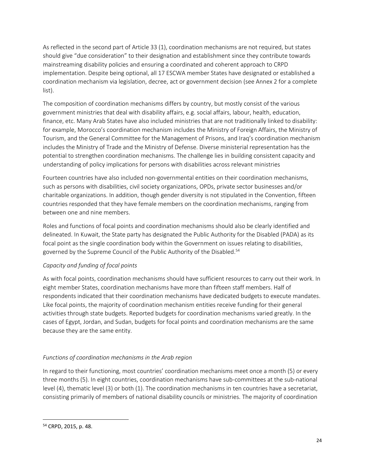As reflected in the second part of Article 33 (1), coordination mechanisms are not required, but states should give "due consideration" to their designation and establishment since they contribute towards mainstreaming disability policies and ensuring a coordinated and coherent approach to CRPD implementation. Despite being optional, all 17 ESCWA member States have designated or established a coordination mechanism via legislation, decree, act or government decision (see Annex 2 for a complete list).

The composition of coordination mechanisms differs by country, but mostly consist of the various government ministries that deal with disability affairs, e.g. social affairs, labour, health, education, finance, etc. Many Arab States have also included ministries that are not traditionally linked to disability: for example, Morocco's coordination mechanism includes the Ministry of Foreign Affairs, the Ministry of Tourism, and the General Committee for the Management of Prisons, and Iraq's coordination mechanism includes the Ministry of Trade and the Ministry of Defense. Diverse ministerial representation has the potential to strengthen coordination mechanisms. The challenge lies in building consistent capacity and understanding of policy implications for persons with disabilities across relevant ministries

Fourteen countries have also included non-governmental entities on their coordination mechanisms, such as persons with disabilities, civil society organizations, OPDs, private sector businesses and/or charitable organizations. In addition, though gender diversity is not stipulated in the Convention, fifteen countries responded that they have female members on the coordination mechanisms, ranging from between one and nine members.

Roles and functions of focal points and coordination mechanisms should also be clearly identified and delineated. In Kuwait, the State party has designated the Public Authority for the Disabled (PADA) as its focal point as the single coordination body within the Government on issues relating to disabilities, governed by the Supreme Council of the Public Authority of the Disabled. 54

#### *Capacity and funding of focal points*

As with focal points, coordination mechanisms should have sufficient resources to carry out their work. In eight member States, coordination mechanisms have more than fifteen staff members. Half of respondents indicated that their coordination mechanisms have dedicated budgets to execute mandates. Like focal points, the majority of coordination mechanism entities receive funding for their general activities through state budgets. Reported budgets for coordination mechanisms varied greatly. In the cases of Egypt, Jordan, and Sudan, budgets for focal points and coordination mechanisms are the same because they are the same entity.

#### *Functions of coordination mechanisms in the Arab region*

In regard to their functioning, most countries' coordination mechanisms meet once a month (5) or every three months (5). In eight countries, coordination mechanisms have sub-committees at the sub-national level (4), thematic level (3) or both (1). The coordination mechanisms in ten countries have a secretariat, consisting primarily of members of national disability councils or ministries. The majority of coordination

 $\overline{a}$ 

<sup>54</sup> CRPD, 2015, p. 48.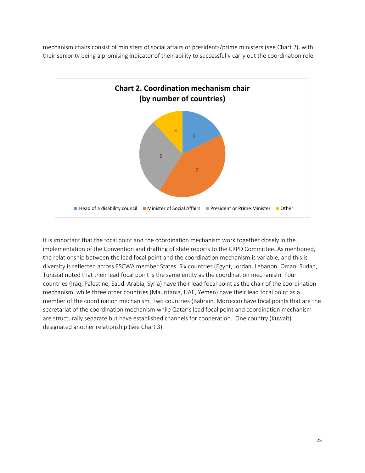mechanism chairs consist of ministers of social affairs or presidents/prime ministers (see Chart 2), with their seniority being a promising indicator of their ability to successfully carry out the coordination role.



It is important that the focal point and the coordination mechanism work together closely in the implementation of the Convention and drafting of state reports to the CRPD Committee. As mentioned, the relationship between the lead focal point and the coordination mechanism is variable, and this is diversity is reflected across ESCWA member States. Six countries (Egypt, Jordan, Lebanon, Oman, Sudan, Tunisia) noted that their lead focal point is the same entity as the coordination mechanism. Four countries (Iraq, Palestine, Saudi Arabia, Syria) have their lead focal point as the chair of the coordination mechanism, while three other countries (Mauritania, UAE, Yemen) have their lead focal point as a member of the coordination mechanism. Two countries (Bahrain, Morocco) have focal points that are the secretariat of the coordination mechanism while Qatar's lead focal point and coordination mechanism are structurally separate but have established channels for cooperation. One country (Kuwait) designated another relationship (see Chart 3).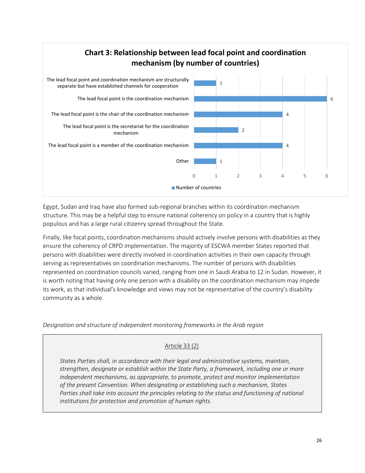

Egypt, Sudan and Iraq have also formed sub-regional branches within its coordination mechanism structure. This may be a helpful step to ensure national coherency on policy in a country that is highly populous and has a large rural citizenry spread throughout the State.

Finally, like focal points, coordination mechanisms should actively involve persons with disabilities as they ensure the coherency of CRPD implementation. The majority of ESCWA member States reported that persons with disabilities were directly involved in coordination activities in their own capacity through serving as representatives on coordination mechanisms. The number of persons with disabilities represented on coordination councils varied, ranging from one in Saudi Arabia to 12 in Sudan. However, it is worth noting that having only one person with a disability on the coordination mechanism may impede its work, as that individual's knowledge and views may not be representative of the country's disability community as a whole.

*Designation and structure of independent monitoring frameworks in the Arab region* 

#### Article 33 (2)

*States Parties shall, in accordance with their legal and administrative systems, maintain, strengthen, designate or establish within the State Party, a framework, including one or more independent mechanisms, as appropriate, to promote, protect and monitor implementation of the present Convention. When designating or establishing such a mechanism, States Parties shall take into account the principles relating to the status and functioning of national institutions for protection and promotion of human rights.*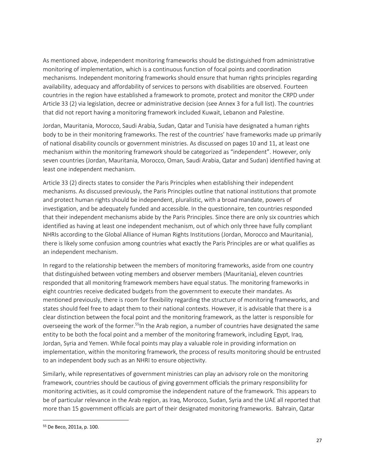As mentioned above, independent monitoring frameworks should be distinguished from administrative monitoring of implementation, which is a continuous function of focal points and coordination mechanisms. Independent monitoring frameworks should ensure that human rights principles regarding availability, adequacy and affordability of services to persons with disabilities are observed. Fourteen countries in the region have established a framework to promote, protect and monitor the CRPD under Article 33 (2) via legislation, decree or administrative decision (see Annex 3 for a full list). The countries that did not report having a monitoring framework included Kuwait, Lebanon and Palestine.

Jordan, Mauritania, Morocco, Saudi Arabia, Sudan, Qatar and Tunisia have designated a human rights body to be in their monitoring frameworks. The rest of the countries' have frameworks made up primarily of national disability councils or government ministries. As discussed on pages 10 and 11, at least one mechanism within the monitoring framework should be categorized as "independent". However, only seven countries (Jordan, Mauritania, Morocco, Oman, Saudi Arabia, Qatar and Sudan) identified having at least one independent mechanism.

Article 33 (2) directs states to consider the Paris Principles when establishing their independent mechanisms. As discussed previously, the Paris Principles outline that national institutions that promote and protect human rights should be independent, pluralistic, with a broad mandate, powers of investigation, and be adequately funded and accessible. In the questionnaire, ten countries responded that their independent mechanisms abide by the Paris Principles. Since there are only six countries which identified as having at least one independent mechanism, out of which only three have fully compliant NHRIs according to the Global Alliance of Human Rights Institutions (Jordan, Morocco and Mauritania), there is likely some confusion among countries what exactly the Paris Principles are or what qualifies as an independent mechanism.

In regard to the relationship between the members of monitoring frameworks, aside from one country that distinguished between voting members and observer members (Mauritania), eleven countries responded that all monitoring framework members have equal status. The monitoring frameworks in eight countries receive dedicated budgets from the government to execute their mandates. As mentioned previously, there is room for flexibility regarding the structure of monitoring frameworks, and states should feel free to adapt them to their national contexts. However, it is advisable that there is a clear distinction between the focal point and the monitoring framework, as the latter is responsible for overseeing the work of the former.<sup>55</sup>In the Arab region, a number of countries have designated the same entity to be both the focal point and a member of the monitoring framework, including Egypt, Iraq, Jordan, Syria and Yemen. While focal points may play a valuable role in providing information on implementation, within the monitoring framework, the process of results monitoring should be entrusted to an independent body such as an NHRI to ensure objectivity.

Similarly, while representatives of government ministries can play an advisory role on the monitoring framework, countries should be cautious of giving government officials the primary responsibility for monitoring activities, as it could compromise the independent nature of the framework. This appears to be of particular relevance in the Arab region, as Iraq, Morocco, Sudan, Syria and the UAE all reported that more than 15 government officials are part of their designated monitoring frameworks. Bahrain, Qatar

 $\overline{a}$ 

<sup>55</sup> De Beco, 2011a, p. 100.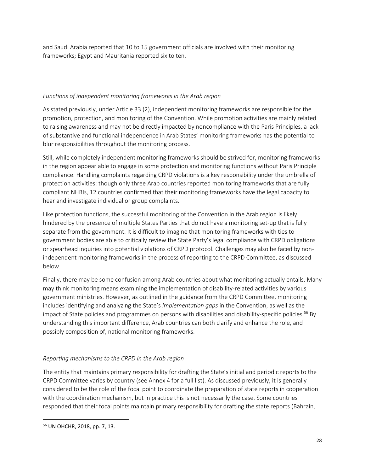and Saudi Arabia reported that 10 to 15 government officials are involved with their monitoring frameworks; Egypt and Mauritania reported six to ten.

#### *Functions of independent monitoring frameworks in the Arab region*

As stated previously, under Article 33 (2), independent monitoring frameworks are responsible for the promotion, protection, and monitoring of the Convention. While promotion activities are mainly related to raising awareness and may not be directly impacted by noncompliance with the Paris Principles, a lack of substantive and functional independence in Arab States' monitoring frameworks has the potential to blur responsibilities throughout the monitoring process.

Still, while completely independent monitoring frameworks should be strived for, monitoring frameworks in the region appear able to engage in some protection and monitoring functions without Paris Principle compliance. Handling complaints regarding CRPD violations is a key responsibility under the umbrella of protection activities: though only three Arab countries reported monitoring frameworks that are fully compliant NHRIs, 12 countries confirmed that their monitoring frameworks have the legal capacity to hear and investigate individual or group complaints.

Like protection functions, the successful monitoring of the Convention in the Arab region is likely hindered by the presence of multiple States Parties that do not have a monitoring set-up that is fully separate from the government. It is difficult to imagine that monitoring frameworks with ties to government bodies are able to critically review the State Party's legal compliance with CRPD obligations or spearhead inquiries into potential violations of CRPD protocol. Challenges may also be faced by nonindependent monitoring frameworks in the process of reporting to the CRPD Committee, as discussed below.

Finally, there may be some confusion among Arab countries about what monitoring actually entails. Many may think monitoring means examining the implementation of disability-related activities by various government ministries. However, as outlined in the guidance from the CRPD Committee, monitoring includes identifying and analyzing the State's *implementation gaps* in the Convention, as well as the impact of State policies and programmes on persons with disabilities and disability-specific policies.<sup>56</sup> By understanding this important difference, Arab countries can both clarify and enhance the role, and possibly composition of, national monitoring frameworks.

### *Reporting mechanisms to the CRPD in the Arab region*

The entity that maintains primary responsibility for drafting the State's initial and periodic reports to the CRPD Committee varies by country (see Annex 4 for a full list). As discussed previously, it is generally considered to be the role of the focal point to coordinate the preparation of state reports in cooperation with the coordination mechanism, but in practice this is not necessarily the case. Some countries responded that their focal points maintain primary responsibility for drafting the state reports (Bahrain,

 $\overline{a}$ 

<sup>56</sup> UN OHCHR, 2018, pp. 7, 13.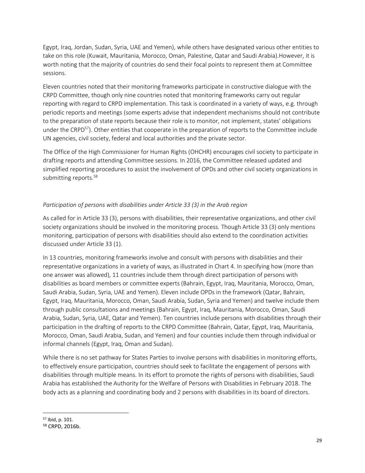Egypt, Iraq, Jordan, Sudan, Syria, UAE and Yemen), while others have designated various other entities to take on this role (Kuwait, Mauritania, Morocco, Oman, Palestine, Qatar and Saudi Arabia).However, it is worth noting that the majority of countries do send their focal points to represent them at Committee sessions.

Eleven countries noted that their monitoring frameworks participate in constructive dialogue with the CRPD Committee, though only nine countries noted that monitoring frameworks carry out regular reporting with regard to CRPD implementation. This task is coordinated in a variety of ways, e.g. through periodic reports and meetings (some experts advise that independent mechanisms should not contribute to the preparation of state reports because their role is to monitor, not implement, states' obligations under the CRPD<sup>57</sup>). Other entities that cooperate in the preparation of reports to the Committee include UN agencies, civil society, federal and local authorities and the private sector.

The Office of the High Commissioner for Human Rights (OHCHR) encourages civil society to participate in drafting reports and attending Committee sessions. In 2016, the Committee released updated and simplified reporting procedures to assist the involvement of OPDs and other civil society organizations in submitting reports.<sup>58</sup>

### *Participation of persons with disabilities under Article 33 (3) in the Arab region*

As called for in Article 33 (3), persons with disabilities, their representative organizations, and other civil society organizations should be involved in the monitoring process. Though Article 33 (3) only mentions monitoring, participation of persons with disabilities should also extend to the coordination activities discussed under Article 33 (1).

In 13 countries, monitoring frameworks involve and consult with persons with disabilities and their representative organizations in a variety of ways, as illustrated in Chart 4. In specifying how (more than one answer was allowed), 11 countries include them through direct participation of persons with disabilities as board members or committee experts (Bahrain, Egypt, Iraq, Mauritania, Morocco, Oman, Saudi Arabia, Sudan, Syria, UAE and Yemen). Eleven include OPDs in the framework (Qatar, Bahrain, Egypt, Iraq, Mauritania, Morocco, Oman, Saudi Arabia, Sudan, Syria and Yemen) and twelve include them through public consultations and meetings (Bahrain, Egypt, Iraq, Mauritania, Morocco, Oman, Saudi Arabia, Sudan, Syria, UAE, Qatar and Yemen). Ten countries include persons with disabilities through their participation in the drafting of reports to the CRPD Committee (Bahrain, Qatar, Egypt, Iraq, Mauritania, Morocco, Oman, Saudi Arabia, Sudan, and Yemen) and four counties include them through individual or informal channels (Egypt, Iraq, Oman and Sudan).

While there is no set pathway for States Parties to involve persons with disabilities in monitoring efforts, to effectively ensure participation, countries should seek to facilitate the engagement of persons with disabilities through multiple means. In its effort to promote the rights of persons with disabilities, Saudi Arabia has established the Authority for the Welfare of Persons with Disabilities in February 2018. The body acts as a planning and coordinating body and 2 persons with disabilities in its board of directors.

 $\overline{\phantom{a}}$ 

<sup>57</sup> Ibid, p. 101.

<sup>58</sup> CRPD, 2016b.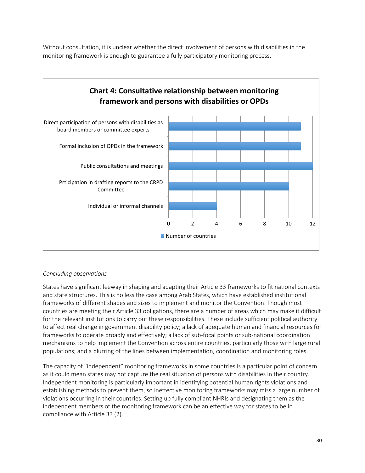Without consultation, it is unclear whether the direct involvement of persons with disabilities in the monitoring framework is enough to guarantee a fully participatory monitoring process.



#### *Concluding observations*

States have significant leeway in shaping and adapting their Article 33 frameworks to fit national contexts and state structures. This is no less the case among Arab States, which have established institutional frameworks of different shapes and sizes to implement and monitor the Convention. Though most countries are meeting their Article 33 obligations, there are a number of areas which may make it difficult for the relevant institutions to carry out these responsibilities. These include sufficient political authority to affect real change in government disability policy; a lack of adequate human and financial resources for frameworks to operate broadly and effectively; a lack of sub-focal points or sub-national coordination mechanisms to help implement the Convention across entire countries, particularly those with large rural populations; and a blurring of the lines between implementation, coordination and monitoring roles.

The capacity of "independent" monitoring frameworks in some countries is a particular point of concern as it could mean states may not capture the real situation of persons with disabilities in their country. Independent monitoring is particularly important in identifying potential human rights violations and establishing methods to prevent them, so ineffective monitoring frameworks may miss a large number of violations occurring in their countries. Setting up fully compliant NHRIs and designating them as the independent members of the monitoring framework can be an effective way for states to be in compliance with Article 33 (2).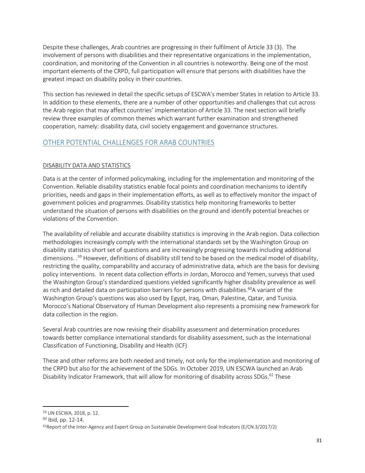Despite these challenges, Arab countries are progressing in their fulfilment of Article 33 (3). The involvement of persons with disabilities and their representative organizations in the implementation, coordination, and monitoring of the Convention in all countries is noteworthy. Being one of the most important elements of the CRPD, full participation will ensure that persons with disabilities have the greatest impact on disability policy in their countries.

This section has reviewed in detail the specific setups of ESCWA's member States in relation to Article 33. In addition to these elements, there are a number of other opportunities and challenges that cut across the Arab region that may affect countries' implementation of Article 33. The next section will briefly review three examples of common themes which warrant further examination and strengthened cooperation, namely: disability data, civil society engagement and governance structures.

## <span id="page-30-0"></span>OTHER POTENTIAL CHALLENGES FOR ARAB COUNTRIES

### DISABILITY DATA AND STATISTICS

Data is at the center of informed policymaking, including for the implementation and monitoring of the Convention. Reliable disability statistics enable focal points and coordination mechanisms to identify priorities, needs and gaps in their implementation efforts, as well as to effectively monitor the impact of government policies and programmes. Disability statistics help monitoring frameworks to better understand the situation of persons with disabilities on the ground and identify potential breaches or violations of the Convention.

The availability of reliable and accurate disability statistics is improving in the Arab region. Data collection methodologies increasingly comply with the international standards set by the Washington Group on disability statistics short set of questions and are increasingly progressing towards including additional dimensions. . <sup>59</sup> However, definitions of disability still tend to be based on the medical model of disability, restricting the quality, comparability and accuracy of administrative data, which are the basis for devising policy interventions. In recent data collection efforts in Jordan, Morocco and Yemen, surveys that used the Washington Group's standardized questions yielded significantly higher disability prevalence as well as rich and detailed data on participation barriers for persons with disabilities.<sup>60</sup>A variant of the Washington Group's questions was also used by Egypt, Iraq, Oman, Palestine, Qatar, and Tunisia. Morocco's National Observatory of Human Development also represents a promising new framework for data collection in the region.

Several Arab countries are now revising their disability assessment and determination procedures towards better compliance international standards for disability assessment, such as the International Classification of Functioning, Disability and Health (ICF)

These and other reforms are both needed and timely, not only for the implementation and monitoring of the CRPD but also for the achievement of the SDGs. In October 2019, UN ESCWA launched an Arab Disability Indicator Framework, that will allow for monitoring of disability across SDGs.<sup>61</sup> These

 $\overline{\phantom{a}}$ <sup>59</sup> UN ESCWA, 2018, p. 12.

<sup>60</sup> Ibid, pp. 12-14.

 $61$ Report of the Inter-Agency and Expert Group on Sustainable Development Goal Indicators (E/CN.3/2017/2)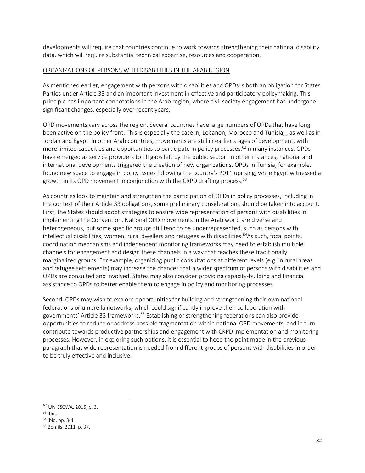developments will require that countries continue to work towards strengthening their national disability data, which will require substantial technical expertise, resources and cooperation.

#### ORGANIZATIONS OF PERSONS WITH DISABILITIES IN THE ARAB REGION

As mentioned earlier, engagement with persons with disabilities and OPDs is both an obligation for States Parties under Article 33 and an important investment in effective and participatory policymaking. This principle has important connotations in the Arab region, where civil society engagement has undergone significant changes, especially over recent years.

OPD movements vary across the region. Several countries have large numbers of OPDs that have long been active on the policy front. This is especially the case in, Lebanon, Morocco and Tunisia, , as well as in Jordan and Egypt. In other Arab countries, movements are still in earlier stages of development, with more limited capacities and opportunities to participate in policy processes.<sup>62</sup>In many instances, OPDs have emerged as service providers to fill gaps left by the public sector. In other instances, national and international developments triggered the creation of new organizations. OPDs in Tunisia, for example, found new space to engage in policy issues following the country's 2011 uprising, while Egypt witnessed a growth in its OPD movement in conjunction with the CRPD drafting process.<sup>63</sup>

As countries look to maintain and strengthen the participation of OPDs in policy processes, including in the context of their Article 33 obligations, some preliminary considerations should be taken into account. First, the States should adopt strategies to ensure wide representation of persons with disabilities in implementing the Convention. National OPD movements in the Arab world are diverse and heterogeneous, but some specific groups still tend to be underrepresented, such as persons with intellectual disabilities, women, rural dwellers and refugees with disabilities.<sup>64</sup>As such, focal points, coordination mechanisms and independent monitoring frameworks may need to establish multiple channels for engagement and design these channels in a way that reaches these traditionally marginalized groups. For example, organizing public consultations at different levels (e.g. in rural areas and refugee settlements) may increase the chances that a wider spectrum of persons with disabilities and OPDs are consulted and involved. States may also consider providing capacity-building and financial assistance to OPDs to better enable them to engage in policy and monitoring processes.

Second, OPDs may wish to explore opportunities for building and strengthening their own national federations or umbrella networks, which could significantly improve their collaboration with governments' Article 33 frameworks.<sup>65</sup> Establishing or strengthening federations can also provide opportunities to reduce or address possible fragmentation within national OPD movements, and in turn contribute towards productive partnerships and engagement with CRPD implementation and monitoring processes. However, in exploring such options, it is essential to heed the point made in the previous paragraph that wide representation is needed from different groups of persons with disabilities in order to be truly effective and inclusive.

l

<sup>62</sup> UN ESCWA, 2015, p. 3.

<sup>63</sup> Ibid.

<sup>64</sup> Ibid, pp. 3-4.

<sup>65</sup> Bonfils, 2011, p. 37.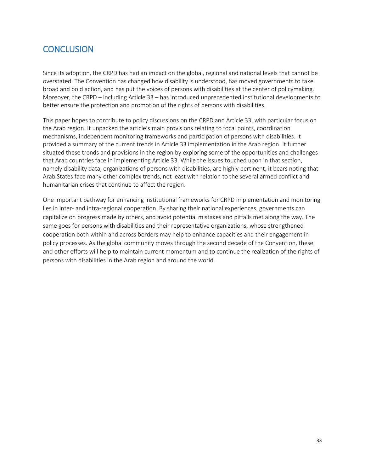## <span id="page-32-0"></span>**CONCLUSION**

Since its adoption, the CRPD has had an impact on the global, regional and national levels that cannot be overstated. The Convention has changed how disability is understood, has moved governments to take broad and bold action, and has put the voices of persons with disabilities at the center of policymaking. Moreover, the CRPD – including Article 33 – has introduced unprecedented institutional developments to better ensure the protection and promotion of the rights of persons with disabilities.

This paper hopes to contribute to policy discussions on the CRPD and Article 33, with particular focus on the Arab region. It unpacked the article's main provisions relating to focal points, coordination mechanisms, independent monitoring frameworks and participation of persons with disabilities. It provided a summary of the current trends in Article 33 implementation in the Arab region. It further situated these trends and provisions in the region by exploring some of the opportunities and challenges that Arab countries face in implementing Article 33. While the issues touched upon in that section, namely disability data, organizations of persons with disabilities, are highly pertinent, it bears noting that Arab States face many other complex trends, not least with relation to the several armed conflict and humanitarian crises that continue to affect the region.

One important pathway for enhancing institutional frameworks for CRPD implementation and monitoring lies in inter- and intra-regional cooperation. By sharing their national experiences, governments can capitalize on progress made by others, and avoid potential mistakes and pitfalls met along the way. The same goes for persons with disabilities and their representative organizations, whose strengthened cooperation both within and across borders may help to enhance capacities and their engagement in policy processes. As the global community moves through the second decade of the Convention, these and other efforts will help to maintain current momentum and to continue the realization of the rights of persons with disabilities in the Arab region and around the world.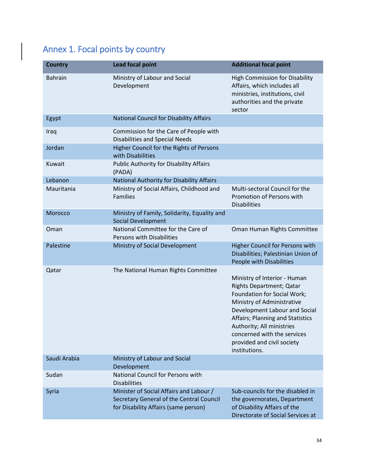# Annex 1. Focal points by country

| <b>Country</b> | <b>Lead focal point</b>                                                                                                     | <b>Additional focal point</b>                                                                                                                                                                                                                                                                         |
|----------------|-----------------------------------------------------------------------------------------------------------------------------|-------------------------------------------------------------------------------------------------------------------------------------------------------------------------------------------------------------------------------------------------------------------------------------------------------|
| <b>Bahrain</b> | Ministry of Labour and Social<br>Development                                                                                | <b>High Commission for Disability</b><br>Affairs, which includes all<br>ministries, institutions, civil<br>authorities and the private<br>sector                                                                                                                                                      |
| Egypt          | <b>National Council for Disability Affairs</b>                                                                              |                                                                                                                                                                                                                                                                                                       |
| Iraq           | Commission for the Care of People with<br><b>Disabilities and Special Needs</b>                                             |                                                                                                                                                                                                                                                                                                       |
| Jordan         | Higher Council for the Rights of Persons<br>with Disabilities                                                               |                                                                                                                                                                                                                                                                                                       |
| Kuwait         | <b>Public Authority for Disability Affairs</b><br>(PADA)                                                                    |                                                                                                                                                                                                                                                                                                       |
| Lebanon        | National Authority for Disability Affairs                                                                                   |                                                                                                                                                                                                                                                                                                       |
| Mauritania     | Ministry of Social Affairs, Childhood and<br><b>Families</b>                                                                | Multi-sectoral Council for the<br>Promotion of Persons with<br><b>Disabilities</b>                                                                                                                                                                                                                    |
| Morocco        | Ministry of Family, Solidarity, Equality and<br>Social Development                                                          |                                                                                                                                                                                                                                                                                                       |
| Oman           | National Committee for the Care of<br>Persons with Disabilities                                                             | Oman Human Rights Committee                                                                                                                                                                                                                                                                           |
| Palestine      | Ministry of Social Development                                                                                              | Higher Council for Persons with<br>Disabilities; Palestinian Union of<br>People with Disabilities                                                                                                                                                                                                     |
| Qatar          | The National Human Rights Committee                                                                                         | Ministry of Interior - Human<br>Rights Department; Qatar<br>Foundation for Social Work;<br>Ministry of Administrative<br>Development Labour and Social<br>Affairs; Planning and Statistics<br>Authority; All ministries<br>concerned with the services<br>provided and civil society<br>institutions. |
| Saudi Arabia   | Ministry of Labour and Social<br>Development                                                                                |                                                                                                                                                                                                                                                                                                       |
| Sudan          | National Council for Persons with<br><b>Disabilities</b>                                                                    |                                                                                                                                                                                                                                                                                                       |
| Syria          | Minister of Social Affairs and Labour /<br>Secretary General of the Central Council<br>for Disability Affairs (same person) | Sub-councils for the disabled in<br>the governorates, Department<br>of Disability Affairs of the<br>Directorate of Social Services at                                                                                                                                                                 |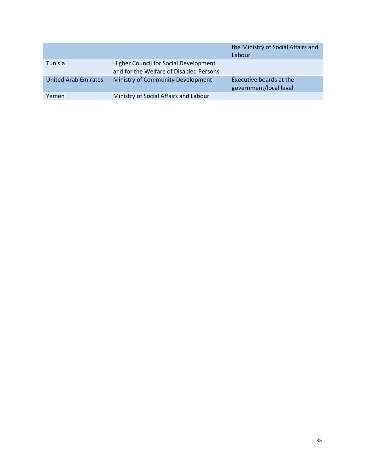|                             |                                                                                         | the Ministry of Social Affairs and<br>Labour      |
|-----------------------------|-----------------------------------------------------------------------------------------|---------------------------------------------------|
| Tunisia                     | <b>Higher Council for Social Development</b><br>and for the Welfare of Disabled Persons |                                                   |
| <b>United Arab Emirates</b> | Ministry of Community Development                                                       | Executive boards at the<br>government/local level |
| Yemen                       | Ministry of Social Affairs and Labour                                                   |                                                   |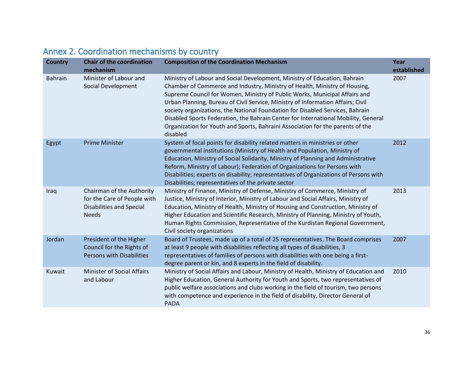<span id="page-35-0"></span>

| <b>Country</b> | <b>Chair of the coordination</b><br>mechanism                                                               | <b>Composition of the Coordination Mechanism</b>                                                                                                                                                                                                                                                                                                                                                                                                                                                                                                                                              | Year<br>established |
|----------------|-------------------------------------------------------------------------------------------------------------|-----------------------------------------------------------------------------------------------------------------------------------------------------------------------------------------------------------------------------------------------------------------------------------------------------------------------------------------------------------------------------------------------------------------------------------------------------------------------------------------------------------------------------------------------------------------------------------------------|---------------------|
| <b>Bahrain</b> | Minister of Labour and<br>Social Development                                                                | Ministry of Labour and Social Development, Ministry of Education, Bahrain<br>Chamber of Commerce and Industry, Ministry of Health, Ministry of Housing,<br>Supreme Council for Women, Ministry of Public Works, Municipal Affairs and<br>Urban Planning, Bureau of Civil Service, Ministry of Information Affairs; Civil<br>society organizations, the National Foundation for Disabled Services, Bahrain<br>Disabled Sports Federation, the Bahrain Center for International Mobility, General<br>Organization for Youth and Sports, Bahraini Association for the parents of the<br>disabled | 2007                |
| Egypt          | <b>Prime Minister</b>                                                                                       | System of focal points for disability related matters in ministries or other<br>governmental institutions (Ministry of Health and Population, Ministry of<br>Education, Ministry of Social Solidarity, Ministry of Planning and Administrative<br>Reform, Ministry of Labour); Federation of Organizations for Persons with<br>Disabilities; experts on disability; representatives of Organizations of Persons with<br>Disabilities; representatives of the private sector                                                                                                                   | 2012                |
| Iraq           | Chairman of the Authority<br>for the Care of People with<br><b>Disabilities and Special</b><br><b>Needs</b> | Ministry of Finance, Ministry of Defense, Ministry of Commerce, Ministry of<br>Justice, Ministry of Interior, Ministry of Labour and Social Affairs, Ministry of<br>Education, Ministry of Health, Ministry of Housing and Construction, Ministry of<br>Higher Education and Scientific Research, Ministry of Planning, Ministry of Youth,<br>Human Rights Commission, Representative of the Kurdistan Regional Government,<br>Civil society organizations                                                                                                                                    | 2013                |
| Jordan         | President of the Higher<br>Council for the Rights of<br><b>Persons with Disabilities</b>                    | Board of Trustees, made up of a total of 25 representatives. The Board comprises<br>at least 9 people with disabilities reflecting all types of disabilities, 3<br>representatives of families of persons with disabilities with one being a first-<br>degree parent or kin, and 8 experts in the field of disability.                                                                                                                                                                                                                                                                        | 2007                |
| Kuwait         | <b>Minister of Social Affairs</b><br>and Labour                                                             | Ministry of Social Affairs and Labour, Ministry of Health, Ministry of Education and<br>Higher Education, General Authority for Youth and Sports, two representatives of<br>public welfare associations and clubs working in the field of tourism, two persons<br>with competence and experience in the field of disability, Director General of<br><b>PADA</b>                                                                                                                                                                                                                               | 2010                |

# Annex 2. Coordination mechanisms by country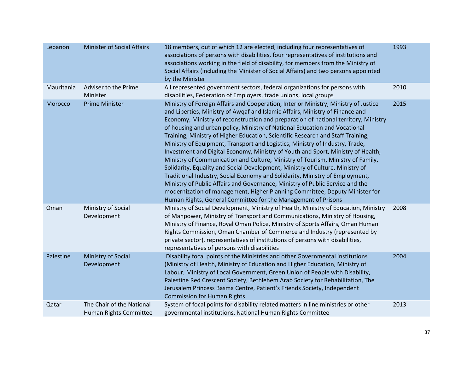| Lebanon    | <b>Minister of Social Affairs</b>                   | 18 members, out of which 12 are elected, including four representatives of<br>associations of persons with disabilities, four representatives of institutions and<br>associations working in the field of disability, for members from the Ministry of<br>Social Affairs (including the Minister of Social Affairs) and two persons appointed<br>by the Minister                                                                                                                                                                                                                                                                                                                                                                                                                                                                                                                                                                                                                                                                                                                      | 1993 |
|------------|-----------------------------------------------------|---------------------------------------------------------------------------------------------------------------------------------------------------------------------------------------------------------------------------------------------------------------------------------------------------------------------------------------------------------------------------------------------------------------------------------------------------------------------------------------------------------------------------------------------------------------------------------------------------------------------------------------------------------------------------------------------------------------------------------------------------------------------------------------------------------------------------------------------------------------------------------------------------------------------------------------------------------------------------------------------------------------------------------------------------------------------------------------|------|
| Mauritania | Adviser to the Prime<br>Minister                    | All represented government sectors, federal organizations for persons with<br>disabilities, Federation of Employers, trade unions, local groups                                                                                                                                                                                                                                                                                                                                                                                                                                                                                                                                                                                                                                                                                                                                                                                                                                                                                                                                       | 2010 |
| Morocco    | <b>Prime Minister</b>                               | Ministry of Foreign Affairs and Cooperation, Interior Ministry, Ministry of Justice<br>and Liberties, Ministry of Awqaf and Islamic Affairs, Ministry of Finance and<br>Economy, Ministry of reconstruction and preparation of national territory, Ministry<br>of housing and urban policy, Ministry of National Education and Vocational<br>Training, Ministry of Higher Education, Scientific Research and Staff Training,<br>Ministry of Equipment, Transport and Logistics, Ministry of Industry, Trade,<br>Investment and Digital Economy, Ministry of Youth and Sport, Ministry of Health,<br>Ministry of Communication and Culture, Ministry of Tourism, Ministry of Family,<br>Solidarity, Equality and Social Development, Ministry of Culture, Ministry of<br>Traditional Industry, Social Economy and Solidarity, Ministry of Employment,<br>Ministry of Public Affairs and Governance, Ministry of Public Service and the<br>modernization of management, Higher Planning Committee, Deputy Minister for<br>Human Rights, General Committee for the Management of Prisons | 2015 |
| Oman       | Ministry of Social<br>Development                   | Ministry of Social Development, Ministry of Health, Ministry of Education, Ministry<br>of Manpower, Ministry of Transport and Communications, Ministry of Housing,<br>Ministry of Finance, Royal Oman Police, Ministry of Sports Affairs, Oman Human<br>Rights Commission, Oman Chamber of Commerce and Industry (represented by<br>private sector), representatives of institutions of persons with disabilities,<br>representatives of persons with disabilities                                                                                                                                                                                                                                                                                                                                                                                                                                                                                                                                                                                                                    | 2008 |
| Palestine  | Ministry of Social<br>Development                   | Disability focal points of the Ministries and other Governmental institutions<br>(Ministry of Health, Ministry of Education and Higher Education, Ministry of<br>Labour, Ministry of Local Government, Green Union of People with Disability,<br>Palestine Red Crescent Society, Bethlehem Arab Society for Rehabilitation, The<br>Jerusalem Princess Basma Centre, Patient's Friends Society, Independent<br><b>Commission for Human Rights</b>                                                                                                                                                                                                                                                                                                                                                                                                                                                                                                                                                                                                                                      | 2004 |
| Qatar      | The Chair of the National<br>Human Rights Committee | System of focal points for disability related matters in line ministries or other<br>governmental institutions, National Human Rights Committee                                                                                                                                                                                                                                                                                                                                                                                                                                                                                                                                                                                                                                                                                                                                                                                                                                                                                                                                       | 2013 |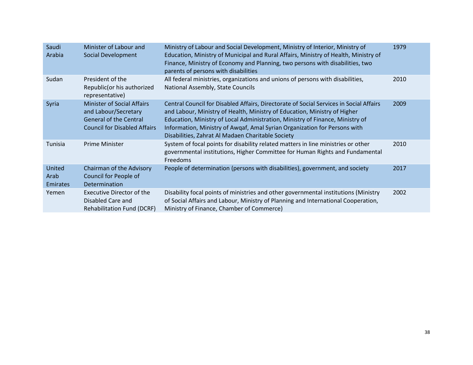| Ministry of Labour and Social Development, Ministry of Interior, Ministry of<br>Saudi<br>Minister of Labour and<br>1979<br>Education, Ministry of Municipal and Rural Affairs, Ministry of Health, Ministry of<br>Arabia<br>Social Development<br>Finance, Ministry of Economy and Planning, two persons with disabilities, two<br>parents of persons with disabilities<br>All federal ministries, organizations and unions of persons with disabilities,<br>Sudan<br>President of the<br>2010<br>National Assembly, State Councils<br>Republic(or his authorized<br>representative)<br><b>Minister of Social Affairs</b><br>Central Council for Disabled Affairs, Directorate of Social Services in Social Affairs<br>Syria<br>2009<br>and Labour/Secretary<br>and Labour, Ministry of Health, Ministry of Education, Ministry of Higher<br><b>General of the Central</b><br>Education, Ministry of Local Administration, Ministry of Finance, Ministry of<br><b>Council for Disabled Affairs</b><br>Information, Ministry of Awgaf, Amal Syrian Organization for Persons with<br>Disabilities, Zahrat Al Madaen Charitable Society<br>System of focal points for disability related matters in line ministries or other<br><b>Tunisia</b><br><b>Prime Minister</b><br>2010<br>governmental institutions, Higher Committee for Human Rights and Fundamental<br>Freedoms<br>United<br>Chairman of the Advisory<br>People of determination (persons with disabilities), government, and society<br>2017<br>Council for People of<br>Arab<br><b>Emirates</b><br>Determination<br>Disability focal points of ministries and other governmental institutions (Ministry<br>Executive Director of the<br>2002<br>Yemen<br>Disabled Care and<br>of Social Affairs and Labour, Ministry of Planning and International Cooperation,<br>Ministry of Finance, Chamber of Commerce)<br><b>Rehabilitation Fund (DCRF)</b> |  |  |
|--------------------------------------------------------------------------------------------------------------------------------------------------------------------------------------------------------------------------------------------------------------------------------------------------------------------------------------------------------------------------------------------------------------------------------------------------------------------------------------------------------------------------------------------------------------------------------------------------------------------------------------------------------------------------------------------------------------------------------------------------------------------------------------------------------------------------------------------------------------------------------------------------------------------------------------------------------------------------------------------------------------------------------------------------------------------------------------------------------------------------------------------------------------------------------------------------------------------------------------------------------------------------------------------------------------------------------------------------------------------------------------------------------------------------------------------------------------------------------------------------------------------------------------------------------------------------------------------------------------------------------------------------------------------------------------------------------------------------------------------------------------------------------------------------------------------------------------------------------------------------------------------------------------|--|--|
|                                                                                                                                                                                                                                                                                                                                                                                                                                                                                                                                                                                                                                                                                                                                                                                                                                                                                                                                                                                                                                                                                                                                                                                                                                                                                                                                                                                                                                                                                                                                                                                                                                                                                                                                                                                                                                                                                                              |  |  |
|                                                                                                                                                                                                                                                                                                                                                                                                                                                                                                                                                                                                                                                                                                                                                                                                                                                                                                                                                                                                                                                                                                                                                                                                                                                                                                                                                                                                                                                                                                                                                                                                                                                                                                                                                                                                                                                                                                              |  |  |
|                                                                                                                                                                                                                                                                                                                                                                                                                                                                                                                                                                                                                                                                                                                                                                                                                                                                                                                                                                                                                                                                                                                                                                                                                                                                                                                                                                                                                                                                                                                                                                                                                                                                                                                                                                                                                                                                                                              |  |  |
|                                                                                                                                                                                                                                                                                                                                                                                                                                                                                                                                                                                                                                                                                                                                                                                                                                                                                                                                                                                                                                                                                                                                                                                                                                                                                                                                                                                                                                                                                                                                                                                                                                                                                                                                                                                                                                                                                                              |  |  |
|                                                                                                                                                                                                                                                                                                                                                                                                                                                                                                                                                                                                                                                                                                                                                                                                                                                                                                                                                                                                                                                                                                                                                                                                                                                                                                                                                                                                                                                                                                                                                                                                                                                                                                                                                                                                                                                                                                              |  |  |
|                                                                                                                                                                                                                                                                                                                                                                                                                                                                                                                                                                                                                                                                                                                                                                                                                                                                                                                                                                                                                                                                                                                                                                                                                                                                                                                                                                                                                                                                                                                                                                                                                                                                                                                                                                                                                                                                                                              |  |  |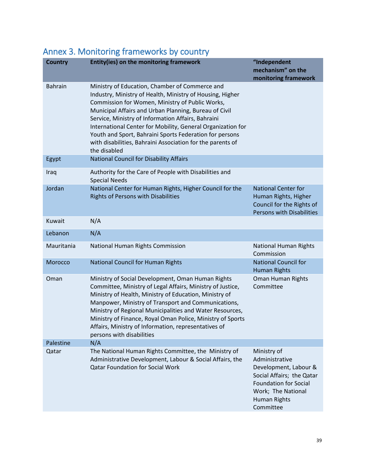<span id="page-38-0"></span>

|  |  | Annex 3. Monitoring frameworks by country |  |  |
|--|--|-------------------------------------------|--|--|
|--|--|-------------------------------------------|--|--|

| <b>Country</b> | Entity(ies) on the monitoring framework                                                                                                                                                                                                                                                                                                                                                                                                                                               | "Independent<br>mechanism" on the<br>monitoring framework                                                                                                              |
|----------------|---------------------------------------------------------------------------------------------------------------------------------------------------------------------------------------------------------------------------------------------------------------------------------------------------------------------------------------------------------------------------------------------------------------------------------------------------------------------------------------|------------------------------------------------------------------------------------------------------------------------------------------------------------------------|
| <b>Bahrain</b> | Ministry of Education, Chamber of Commerce and<br>Industry, Ministry of Health, Ministry of Housing, Higher<br>Commission for Women, Ministry of Public Works,<br>Municipal Affairs and Urban Planning, Bureau of Civil<br>Service, Ministry of Information Affairs, Bahraini<br>International Center for Mobility, General Organization for<br>Youth and Sport, Bahraini Sports Federation for persons<br>with disabilities, Bahraini Association for the parents of<br>the disabled |                                                                                                                                                                        |
| Egypt          | <b>National Council for Disability Affairs</b>                                                                                                                                                                                                                                                                                                                                                                                                                                        |                                                                                                                                                                        |
| Iraq           | Authority for the Care of People with Disabilities and<br><b>Special Needs</b>                                                                                                                                                                                                                                                                                                                                                                                                        |                                                                                                                                                                        |
| Jordan         | National Center for Human Rights, Higher Council for the<br><b>Rights of Persons with Disabilities</b>                                                                                                                                                                                                                                                                                                                                                                                | <b>National Center for</b><br>Human Rights, Higher<br>Council for the Rights of<br><b>Persons with Disabilities</b>                                                    |
| Kuwait         | N/A                                                                                                                                                                                                                                                                                                                                                                                                                                                                                   |                                                                                                                                                                        |
| Lebanon        | N/A                                                                                                                                                                                                                                                                                                                                                                                                                                                                                   |                                                                                                                                                                        |
| Mauritania     | National Human Rights Commission                                                                                                                                                                                                                                                                                                                                                                                                                                                      | <b>National Human Rights</b><br>Commission                                                                                                                             |
| Morocco        | National Council for Human Rights                                                                                                                                                                                                                                                                                                                                                                                                                                                     | <b>National Council for</b><br><b>Human Rights</b>                                                                                                                     |
| Oman           | Ministry of Social Development, Oman Human Rights<br>Committee, Ministry of Legal Affairs, Ministry of Justice,<br>Ministry of Health, Ministry of Education, Ministry of<br>Manpower, Ministry of Transport and Communications,<br>Ministry of Regional Municipalities and Water Resources,<br>Ministry of Finance, Royal Oman Police, Ministry of Sports<br>Affairs, Ministry of Information, representatives of<br>persons with disabilities                                       | Oman Human Rights<br>Committee                                                                                                                                         |
| Palestine      | N/A                                                                                                                                                                                                                                                                                                                                                                                                                                                                                   |                                                                                                                                                                        |
| Qatar          | The National Human Rights Committee, the Ministry of<br>Administrative Development, Labour & Social Affairs, the<br><b>Qatar Foundation for Social Work</b>                                                                                                                                                                                                                                                                                                                           | Ministry of<br>Administrative<br>Development, Labour &<br>Social Affairs; the Qatar<br><b>Foundation for Social</b><br>Work; The National<br>Human Rights<br>Committee |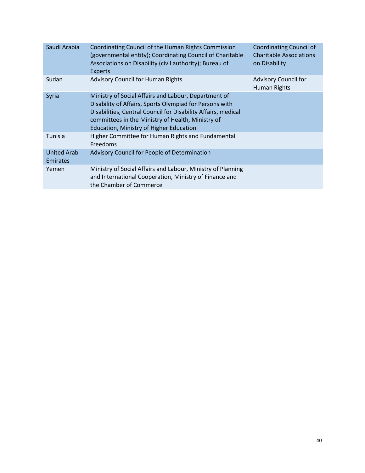| Saudi Arabia                   | Coordinating Council of the Human Rights Commission<br>(governmental entity); Coordinating Council of Charitable<br>Associations on Disability (civil authority); Bureau of<br><b>Experts</b>                                                                                           | <b>Coordinating Council of</b><br><b>Charitable Associations</b><br>on Disability |
|--------------------------------|-----------------------------------------------------------------------------------------------------------------------------------------------------------------------------------------------------------------------------------------------------------------------------------------|-----------------------------------------------------------------------------------|
| Sudan                          | <b>Advisory Council for Human Rights</b>                                                                                                                                                                                                                                                | <b>Advisory Council for</b><br>Human Rights                                       |
| Syria                          | Ministry of Social Affairs and Labour, Department of<br>Disability of Affairs, Sports Olympiad for Persons with<br>Disabilities, Central Council for Disability Affairs, medical<br>committees in the Ministry of Health, Ministry of<br><b>Education, Ministry of Higher Education</b> |                                                                                   |
| Tunisia                        | Higher Committee for Human Rights and Fundamental<br>Freedoms                                                                                                                                                                                                                           |                                                                                   |
| <b>United Arab</b><br>Emirates | Advisory Council for People of Determination                                                                                                                                                                                                                                            |                                                                                   |
| Yemen                          | Ministry of Social Affairs and Labour, Ministry of Planning<br>and International Cooperation, Ministry of Finance and<br>the Chamber of Commerce                                                                                                                                        |                                                                                   |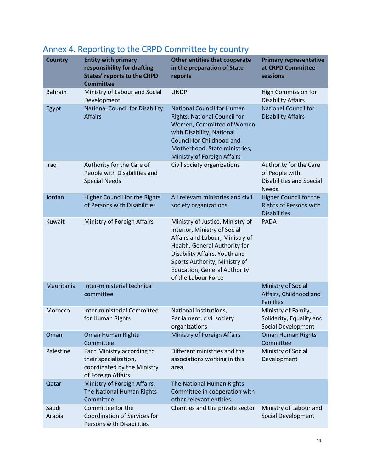| <b>Country</b>  | <b>Entity with primary</b><br>responsibility for drafting<br><b>States' reports to the CRPD</b><br><b>Committee</b> | <b>Other entities that cooperate</b><br>in the preparation of State<br>reports                                                                                                                                                                                       | <b>Primary representative</b><br>at CRPD Committee<br>sessions                              |
|-----------------|---------------------------------------------------------------------------------------------------------------------|----------------------------------------------------------------------------------------------------------------------------------------------------------------------------------------------------------------------------------------------------------------------|---------------------------------------------------------------------------------------------|
| <b>Bahrain</b>  | Ministry of Labour and Social<br>Development                                                                        | <b>UNDP</b>                                                                                                                                                                                                                                                          | High Commission for<br><b>Disability Affairs</b>                                            |
| Egypt           | <b>National Council for Disability</b><br><b>Affairs</b>                                                            | <b>National Council for Human</b><br>Rights, National Council for<br>Women, Committee of Women<br>with Disability, National<br>Council for Childhood and<br>Motherhood, State ministries,<br>Ministry of Foreign Affairs                                             | <b>National Council for</b><br><b>Disability Affairs</b>                                    |
| Iraq            | Authority for the Care of<br>People with Disabilities and<br><b>Special Needs</b>                                   | Civil society organizations                                                                                                                                                                                                                                          | Authority for the Care<br>of People with<br><b>Disabilities and Special</b><br><b>Needs</b> |
| Jordan          | <b>Higher Council for the Rights</b><br>of Persons with Disabilities                                                | All relevant ministries and civil<br>society organizations                                                                                                                                                                                                           | Higher Council for the<br><b>Rights of Persons with</b><br><b>Disabilities</b>              |
| Kuwait          | Ministry of Foreign Affairs                                                                                         | Ministry of Justice, Ministry of<br>Interior, Ministry of Social<br>Affairs and Labour, Ministry of<br>Health, General Authority for<br>Disability Affairs, Youth and<br>Sports Authority, Ministry of<br><b>Education, General Authority</b><br>of the Labour Force | <b>PADA</b>                                                                                 |
| Mauritania      | Inter-ministerial technical<br>committee                                                                            |                                                                                                                                                                                                                                                                      | Ministry of Social<br>Affairs, Childhood and<br><b>Families</b>                             |
| Morocco         | <b>Inter-ministerial Committee</b><br>for Human Rights                                                              | National institutions,<br>Parliament, civil society<br>organizations                                                                                                                                                                                                 | Ministry of Family,<br>Solidarity, Equality and<br>Social Development                       |
| Oman            | <b>Oman Human Rights</b><br>Committee                                                                               | Ministry of Foreign Affairs                                                                                                                                                                                                                                          | <b>Oman Human Rights</b><br>Committee                                                       |
| Palestine       | Each Ministry according to<br>their specialization,<br>coordinated by the Ministry<br>of Foreign Affairs            | Different ministries and the<br>associations working in this<br>area                                                                                                                                                                                                 | Ministry of Social<br>Development                                                           |
| Qatar           | Ministry of Foreign Affairs,<br>The National Human Rights<br>Committee                                              | The National Human Rights<br>Committee in cooperation with<br>other relevant entities                                                                                                                                                                                |                                                                                             |
| Saudi<br>Arabia | Committee for the<br>Coordination of Services for<br>Persons with Disabilities                                      | Charities and the private sector                                                                                                                                                                                                                                     | Ministry of Labour and<br>Social Development                                                |

# <span id="page-40-0"></span>Annex 4. Reporting to the CRPD Committee by country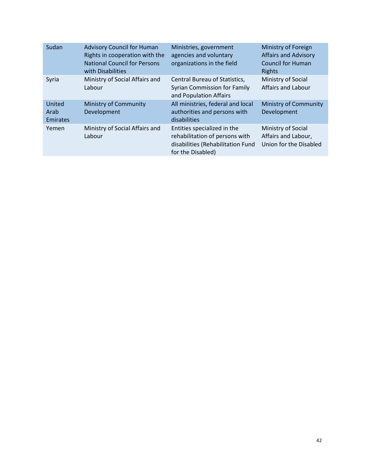| Sudan                      | <b>Advisory Council for Human</b><br>Rights in cooperation with the<br><b>National Council for Persons</b><br>with Disabilities | Ministries, government<br>agencies and voluntary<br>organizations in the field                                          | Ministry of Foreign<br><b>Affairs and Advisory</b><br><b>Council for Human</b><br>Rights |
|----------------------------|---------------------------------------------------------------------------------------------------------------------------------|-------------------------------------------------------------------------------------------------------------------------|------------------------------------------------------------------------------------------|
| Syria                      | Ministry of Social Affairs and<br>Labour                                                                                        | Central Bureau of Statistics,<br><b>Syrian Commission for Family</b><br>and Population Affairs                          | Ministry of Social<br><b>Affairs and Labour</b>                                          |
| United<br>Arab<br>Emirates | <b>Ministry of Community</b><br>Development                                                                                     | All ministries, federal and local<br>authorities and persons with<br>disabilities                                       | <b>Ministry of Community</b><br>Development                                              |
| Yemen                      | Ministry of Social Affairs and<br>Labour                                                                                        | Entities specialized in the<br>rehabilitation of persons with<br>disabilities (Rehabilitation Fund<br>for the Disabled) | Ministry of Social<br>Affairs and Labour,<br>Union for the Disabled                      |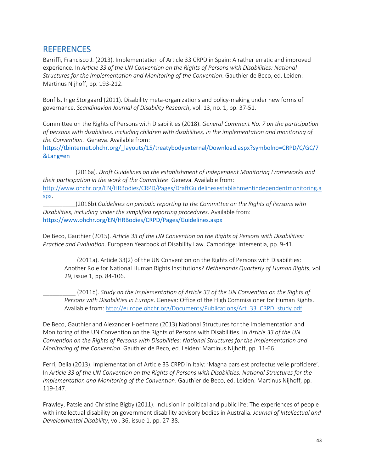## <span id="page-42-0"></span>**REFERENCES**

Barriffi, Francisco J. (2013). Implementation of Article 33 CRPD in Spain: A rather erratic and improved experience. In *Article 33 of the UN Convention on the Rights of Persons with Disabilities: National Structures for the Implementation and Monitoring of the Convention*. Gauthier de Beco, ed. Leiden: Martinus Nijhoff, pp. 193-212.

Bonfils, Inge Storgaard (2011). Disability meta-organizations and policy-making under new forms of governance. *Scandinavian Journal of Disability Research*, vol. 13, no. 1, pp. 37-51.

Committee on the Rights of Persons with Disabilities (2018). *General Comment No. 7 on the participation of persons with disabilities, including children with disabilities, in the implementation and monitoring of the Convention.* Geneva. Available from:

[https://tbinternet.ohchr.org/\\_layouts/15/treatybodyexternal/Download.aspx?symbolno=CRPD/C/GC/7](https://tbinternet.ohchr.org/_layouts/15/treatybodyexternal/Download.aspx?symbolno=CRPD/C/GC/7&Lang=en) [&Lang=en](https://tbinternet.ohchr.org/_layouts/15/treatybodyexternal/Download.aspx?symbolno=CRPD/C/GC/7&Lang=en)

\_\_\_\_\_\_\_\_\_\_(2016a). *Draft Guidelines on the establishment of Independent Monitoring Frameworks and their participation in the work of the Committee*. Geneva. Available from: [http://www.ohchr.org/EN/HRBodies/CRPD/Pages/DraftGuidelinesestablishmentindependentmonitoring.a](http://www.ohchr.org/EN/HRBodies/CRPD/Pages/DraftGuidelinesestablishmentindependentmonitoring.aspx) [spx.](http://www.ohchr.org/EN/HRBodies/CRPD/Pages/DraftGuidelinesestablishmentindependentmonitoring.aspx)

\_\_\_\_\_\_\_\_\_\_(2016b).*Guidelines on periodic reporting to the Committee on the Rights of Persons with Disabilities, including under the simplified reporting procedures*. Available from: <https://www.ohchr.org/EN/HRBodies/CRPD/Pages/Guidelines.aspx>

De Beco, Gauthier (2015). *Article 33 of the UN Convention on the Rights of Persons with Disabilities: Practice and Evaluation*. European Yearbook of Disability Law. Cambridge: Intersentia, pp. 9-41.

(2011a). Article 33(2) of the UN Convention on the Rights of Persons with Disabilities: Another Role for National Human Rights Institutions? *Netherlands Quarterly of Human Rights*, vol. 29, issue 1, pp. 84-106.

\_\_\_\_\_\_\_\_\_\_ (2011b). *Study on the Implementation of Article 33 of the UN Convention on the Rights of Persons with Disabilities in Europe*. Geneva: Office of the High Commissioner for Human Rights. Available from: [http://europe.ohchr.org/Documents/Publications/Art\\_33\\_CRPD\\_study.pdf.](http://europe.ohchr.org/Documents/Publications/Art_33_CRPD_study.pdf)

De Beco, Gauthier and Alexander Hoefmans (2013).National Structures for the Implementation and Monitoring of the UN Convention on the Rights of Persons with Disabilities. In *Article 33 of the UN Convention on the Rights of Persons with Disabilities: National Structures for the Implementation and Monitoring of the Convention*. Gauthier de Beco, ed. Leiden: Martinus Nijhoff, pp. 11-66.

Ferri, Delia (2013). Implementation of Article 33 CRPD in Italy: 'Magna pars est profectus velle proficiere'. In *Article 33 of the UN Convention on the Rights of Persons with Disabilities: National Structures for the Implementation and Monitoring of the Convention*. Gauthier de Beco, ed. Leiden: Martinus Nijhoff, pp. 119-147.

Frawley, Patsie and Christine Bigby (2011). Inclusion in political and public life: The experiences of people with intellectual disability on government disability advisory bodies in Australia. *Journal of Intellectual and Developmental Disability*, vol. 36, issue 1, pp. 27-38.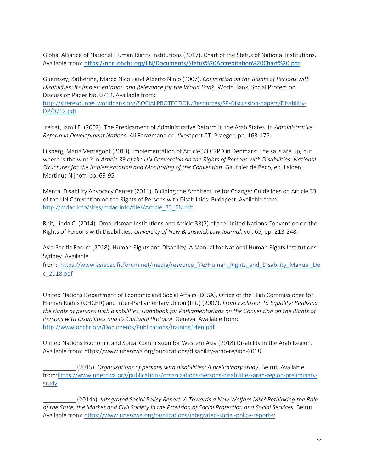Global Alliance of National Human Rights Institutions (2017). Chart of the Status of National Institutions. Available from: https://nhri.ohchr.org/EN/Documents/Status%20Accreditation%20Chart%20.pdf.

Guernsey, Katherine, Marco Nicoli and Alberto Ninio (2007). *Convention on the Rights of Persons with Disabilities: Its Implementation and Relevance for the World Bank*. World Bank. Social Protection Discussion Paper No. 0712. Available from:

[http://siteresources.worldbank.org/SOCIALPROTECTION/Resources/SP-Discussion-papers/Disability-](http://siteresources.worldbank.org/SOCIALPROTECTION/Resources/SP-Discussion-papers/Disability-DP/0712.pdf)[DP/0712.pdf.](http://siteresources.worldbank.org/SOCIALPROTECTION/Resources/SP-Discussion-papers/Disability-DP/0712.pdf)

Jreisat, Jamil E. (2002). The Predicament of Administrative Reform in the Arab States. In *Administrative Reform in Development Nations*. Ali Farazmand ed. Westport CT: Praeger, pp. 163-176.

Liisberg, Maria Ventegodt (2013). Implementation of Article 33 CRPD in Denmark: The sails are up, but where is the wind? In *Article 33 of the UN Convention on the Rights of Persons with Disabilities: National Structures for the Implementation and Monitoring of the Convention*. Gauthier de Beco, ed. Leiden: Martinus Nijhoff, pp. 69-95.

Mental Disability Advocacy Center (2011). Building the Architecture for Change: Guidelines on Article 33 of the UN Convention on the Rights of Persons with Disabilities. Budapest. Available from: [http://mdac.info/sites/mdac.info/files/Article\\_33\\_EN.pdf.](http://mdac.info/sites/mdac.info/files/Article_33_EN.pdf)

Reif, Linda C. (2014). Ombudsman Institutions and Article 33(2) of the United Nations Convention on the Rights of Persons with Disabilities. *University of New Brunswick Law Journal*, vol. 65, pp. 213-248.

Asia Pacific Forum (2018). Human Rights and Disability: A Manual for National Human Rights Institutions. Sydney. Available

from: [https://www.asiapacificforum.net/media/resource\\_file/Human\\_Rights\\_and\\_Disability\\_Manual\\_De](https://www.asiapacificforum.net/media/resource_file/Human_Rights_and_Disability_Manual_Dec_2018.pdf) [c\\_2018.pdf](https://www.asiapacificforum.net/media/resource_file/Human_Rights_and_Disability_Manual_Dec_2018.pdf)

United Nations Department of Economic and Social Affairs (DESA), Office of the High Commissioner for Human Rights (OHCHR) and Inter-Parliamentary Union (IPU) (2007). *From Exclusion to Equality: Realizing the rights of persons with disabilities. Handbook for Parliamentarians on the Convention on the Rights of Persons with Disabilities and its Optional Protocol*. Geneva. Available from: [http://www.ohchr.org/Documents/Publications/training14en.pdf.](http://www.ohchr.org/Documents/Publications/training14en.pdf)

United Nations Economic and Social Commission for Western Asia (2018) Disability in the Arab Region. Available from: https://www.unescwa.org/publications/disability-arab-region-2018

\_\_\_\_\_\_\_\_\_\_ (2015). *Organizations of persons with disabilities: A preliminary study*. Beirut. Available from[:https://www.unescwa.org/publications/organizations-persons-disabilities-arab-region-preliminary](https://www.unescwa.org/publications/organizations-persons-disabilities-arab-region-preliminary-study)[study.](https://www.unescwa.org/publications/organizations-persons-disabilities-arab-region-preliminary-study)

\_\_\_\_\_\_\_\_\_\_ (2014a). *Integrated Social Policy Report V: Towards a New Welfare Mix? Rethinking the Role of the State, the Market and Civil Society in the Provision of Social Protection and Social Services*. Beirut. Available from:<https://www.unescwa.org/publications/integrated-social-policy-report-v>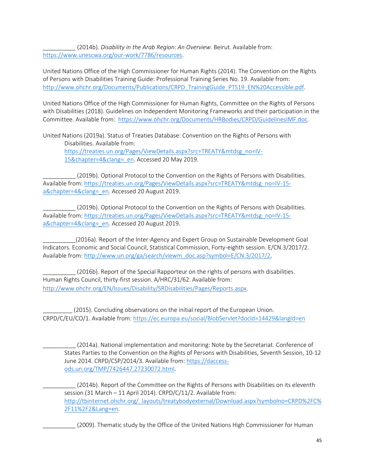\_\_\_\_\_\_\_\_\_\_ (2014b). *Disability in the Arab Region: An Overview*. Beirut. Available from: [https://www.unescwa.org/our-work/7786/resources.](https://www.unescwa.org/our-work/7786/resources)

United Nations Office of the High Commissioner for Human Rights (2014). The Convention on the Rights of Persons with Disabilities Training Guide: Professional Training Series No. 19. Available from: [http://www.ohchr.org/Documents/Publications/CRPD\\_TrainingGuide\\_PTS19\\_EN%20Accessible.pdf.](http://www.ohchr.org/Documents/Publications/CRPD_TrainingGuide_PTS19_EN%20Accessible.pdf)

United Nations Office of the High Commissioner for Human Rights, Committee on the Rights of Persons with Disabilities (2018). Guidelines on Independent Monitoring Frameworks and their participation in the Committee. Available from: [https://www.ohchr.org/Documents/HRBodies/CRPD/GuidelinesIMF.doc.](https://www.ohchr.org/Documents/HRBodies/CRPD/GuidelinesIMF.doc)

United Nations (2019a). Status of Treaties Database: Convention on the Rights of Persons with Disabilities. Available from: https://treaties.un.org/Pages/ViewDetails.aspx?src=TREATY&mtdsg\_no=IV-15&chapter=4&clang=\_en. Accessed 20 May 2019.

(2019b). Optional Protocol to the Convention on the Rights of Persons with Disabilities. Available from: [https://treaties.un.org/Pages/ViewDetails.aspx?src=TREATY&mtdsg\\_no=IV-15](https://treaties.un.org/Pages/ViewDetails.aspx?src=TREATY&mtdsg_no=IV-15-a&chapter=4&clang=_en) a&chapter=4&clang= en. Accessed 20 August 2019.

\_\_\_\_\_\_\_\_\_\_ (2019b). Optional Protocol to the Convention on the Rights of Persons with Disabilities. Available from: [https://treaties.un.org/Pages/ViewDetails.aspx?src=TREATY&mtdsg\\_no=IV-15](https://treaties.un.org/Pages/ViewDetails.aspx?src=TREATY&mtdsg_no=IV-15-a&chapter=4&clang=_en) [a&chapter=4&clang=\\_en.](https://treaties.un.org/Pages/ViewDetails.aspx?src=TREATY&mtdsg_no=IV-15-a&chapter=4&clang=_en) Accessed 20 August 2019.

\_\_\_\_\_\_\_\_\_\_(2016a). Report of the Inter-Agency and Expert Group on Sustainable Development Goal Indicators. Economic and Social Council, Statistical Commission, Forty-eighth session. E/CN.3/2017/2. Available from: [http://www.un.org/ga/search/viewm\\_doc.asp?symbol=E/CN.3/2017/2](http://www.un.org/ga/search/viewm_doc.asp?symbol=E/CN.3/2017/2).

(2016b). Report of the Special Rapporteur on the rights of persons with disabilities. Human Rights Council, thirty-first session. A/HRC/31/62. Available from: [http://www.ohchr.org/EN/Issues/Disability/SRDisabilities/Pages/Reports.aspx.](http://www.ohchr.org/EN/Issues/Disability/SRDisabilities/Pages/Reports.aspx)

(2015). Concluding observations on the initial report of the European Union. CRPD/C/EU/CO/1. Available from: [https://ec.europa.eu/social/BlobServlet?docId=14429&langId=en](https://www.google.com/url?sa=t&rct=j&q=&esrc=s&source=web&cd=4&ved=2ahUKEwiPqdGiguHiAhXQDmMBHTe5AKsQFjADegQIBRAC&url=https%3A%2F%2Fec.europa.eu%2Fsocial%2FBlobServlet%3FdocId%3D14429%26langId%3Den&usg=AOvVaw1vL01K5hwjG_Sc-FsnD6s9)

\_\_\_\_\_\_\_\_\_\_ (2014a). National implementation and monitoring: Note by the Secretariat. Conference of States Parties to the Convention on the Rights of Persons with Disabilities, Seventh Session, 10-12 June 2014. CRPD/CSP/2014/3. Available from: [https://daccess](https://daccess-ods.un.org/TMP/7426447.27230072.html)[ods.un.org/TMP/7426447.27230072.html.](https://daccess-ods.un.org/TMP/7426447.27230072.html)

\_\_\_\_\_\_\_\_\_\_ (2014b). Report of the Committee on the Rights of Persons with Disabilities on its eleventh session (31 March – 11 April 2014). CRPD/C/11/2. Available from: [http://tbinternet.ohchr.org/\\_layouts/treatybodyexternal/Download.aspx?symbolno=CRPD%2FC%](http://tbinternet.ohchr.org/_layouts/treatybodyexternal/Download.aspx?symbolno=CRPD%2FC%2F11%2F2&Lang=en) [2F11%2F2&Lang=en.](http://tbinternet.ohchr.org/_layouts/treatybodyexternal/Download.aspx?symbolno=CRPD%2FC%2F11%2F2&Lang=en)

(2009). Thematic study by the Office of the United Nations High Commissioner for Human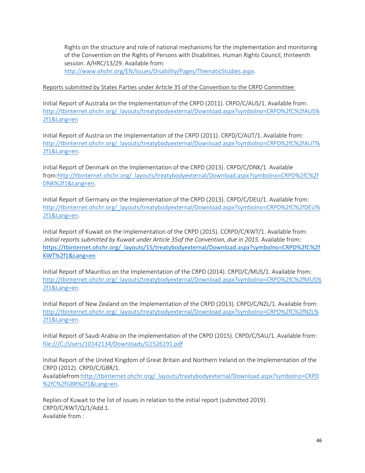Rights on the structure and role of national mechanisms for the implementation and monitoring of the Convention on the Rights of Persons with Disabilities. Human Rights Council, thirteenth session. A/HRC/13/29. Available from:

[http://www.ohchr.org/EN/Issues/Disability/Pages/ThematicStudies.aspx.](http://www.ohchr.org/EN/Issues/Disability/Pages/ThematicStudies.aspx)

#### Reports submitted by States Parties under Article 35 of the Convention to the CRPD Committee:

Initial Report of Australia on the Implementation of the CRPD (2011). CRPD/C/AUS/1. Available from: [http://tbinternet.ohchr.org/\\_layouts/treatybodyexternal/Download.aspx?symbolno=CRPD%2fC%2fAUS%](http://tbinternet.ohchr.org/_layouts/treatybodyexternal/Download.aspx?symbolno=CRPD%2fC%2fAUS%2f1&Lang=en) [2f1&Lang=en](http://tbinternet.ohchr.org/_layouts/treatybodyexternal/Download.aspx?symbolno=CRPD%2fC%2fAUS%2f1&Lang=en)

Initial Report of Austria on the Implementation of the CRPD (2011). CRPD/C/AUT/1. Available from: [http://tbinternet.ohchr.org/\\_layouts/treatybodyexternal/Download.aspx?symbolno=CRPD%2fC%2fAUT%](http://tbinternet.ohchr.org/_layouts/treatybodyexternal/Download.aspx?symbolno=CRPD%2fC%2fAUT%2f1&Lang=en) [2f1&Lang=en.](http://tbinternet.ohchr.org/_layouts/treatybodyexternal/Download.aspx?symbolno=CRPD%2fC%2fAUT%2f1&Lang=en)

Initial Report of Denmark on the Implementation of the CRPD (2013). CRPD/C/DNK/1. Available from[:http://tbinternet.ohchr.org/\\_layouts/treatybodyexternal/Download.aspx?symbolno=CRPD%2fC%2f](http://tbinternet.ohchr.org/_layouts/treatybodyexternal/Download.aspx?symbolno=CRPD%2fC%2fDNK%2f1&Lang=en) [DNK%2f1&Lang=en.](http://tbinternet.ohchr.org/_layouts/treatybodyexternal/Download.aspx?symbolno=CRPD%2fC%2fDNK%2f1&Lang=en)

Initial Report of Germany on the Implementation of the CRPD (2013). CRPD/C/DEU/1. Available from: [http://tbinternet.ohchr.org/\\_layouts/treatybodyexternal/Download.aspx?symbolno=CRPD%2fC%2fDEU%](http://tbinternet.ohchr.org/_layouts/treatybodyexternal/Download.aspx?symbolno=CRPD%2fC%2fDEU%2f1&Lang=en) [2f1&Lang=en.](http://tbinternet.ohchr.org/_layouts/treatybodyexternal/Download.aspx?symbolno=CRPD%2fC%2fDEU%2f1&Lang=en)

Initial Report of Kuwait on the Implementation of the CRPD (2015). CCRPD/C/KWT/1. Available from: .*Initial reports submitted by Kuwait under Article 35of the Convention, due in 2015.* Available from: [https://tbinternet.ohchr.org/\\_layouts/15/treatybodyexternal/Download.aspx?symbolno=CRPD%2fC%2f](https://tbinternet.ohchr.org/_layouts/15/treatybodyexternal/Download.aspx?symbolno=CRPD%2fC%2fKWT%2f1&Lang=en) [KWT%2f1&Lang=en](https://tbinternet.ohchr.org/_layouts/15/treatybodyexternal/Download.aspx?symbolno=CRPD%2fC%2fKWT%2f1&Lang=en)

Initial Report of Mauritius on the Implementation of the CRPD (2014). CRPD/C/MUS/1. Available from: [http://tbinternet.ohchr.org/\\_layouts/treatybodyexternal/Download.aspx?symbolno=CRPD%2fC%2fMUS%](http://tbinternet.ohchr.org/_layouts/treatybodyexternal/Download.aspx?symbolno=CRPD%2fC%2fMUS%2f1&Lang=en) [2f1&Lang=en.](http://tbinternet.ohchr.org/_layouts/treatybodyexternal/Download.aspx?symbolno=CRPD%2fC%2fMUS%2f1&Lang=en)

Initial Report of New Zealand on the Implementation of the CRPD (2013). CRPD/C/NZL/1. Available from: [http://tbinternet.ohchr.org/\\_layouts/treatybodyexternal/Download.aspx?symbolno=CRPD%2fC%2fNZL%](http://tbinternet.ohchr.org/_layouts/treatybodyexternal/Download.aspx?symbolno=CRPD%2fC%2fNZL%2f1&Lang=en) [2f1&Lang=en.](http://tbinternet.ohchr.org/_layouts/treatybodyexternal/Download.aspx?symbolno=CRPD%2fC%2fNZL%2f1&Lang=en)

Initial Report of Saudi Arabia on the implementation of the CRPD (2015). CRPD/C/SAU/1. Available from: <file:///C:/Users/10142134/Downloads/G1526191.pdf>

Initial Report of the United Kingdom of Great Britain and Northern Ireland on the Implementation of the CRPD (2012). CRPD/C/GBR/1.

Availablefrom[:http://tbinternet.ohchr.org/\\_layouts/treatybodyexternal/Download.aspx?symbolno=CRPD](http://tbinternet.ohchr.org/_layouts/treatybodyexternal/Download.aspx?symbolno=CRPD%2fC%2fGBR%2f1&Lang=en) [%2fC%2fGBR%2f1&Lang=en.](http://tbinternet.ohchr.org/_layouts/treatybodyexternal/Download.aspx?symbolno=CRPD%2fC%2fGBR%2f1&Lang=en)

Replies of Kuwait to the list of issues in relation to the initial report (submitted 2019). CRPD/C/KWT/Q/1/Add.1. Available from :